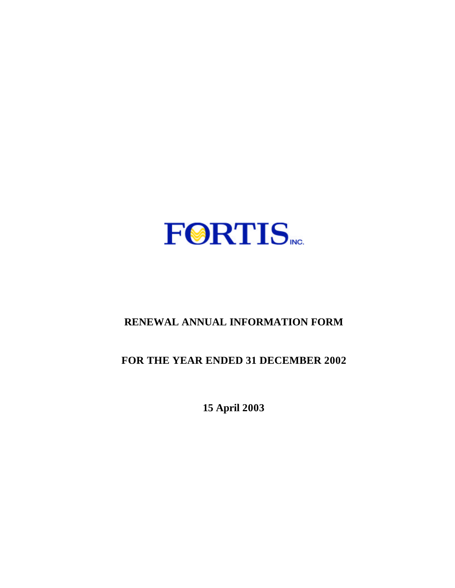

# **RENEWAL ANNUAL INFORMATION FORM**

# **FOR THE YEAR ENDED 31 DECEMBER 2002**

**15 April 2003**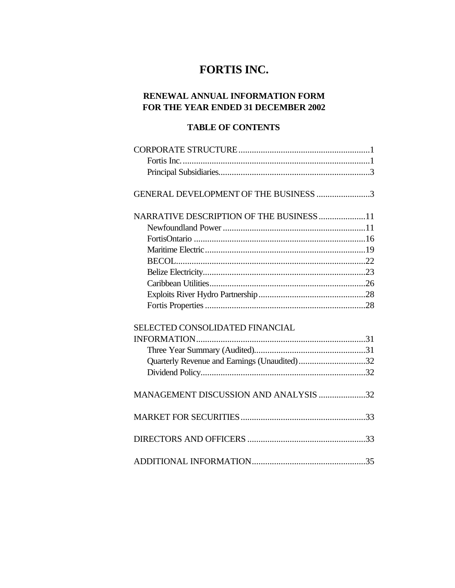# **FORTIS INC.**

## **RENEWAL ANNUAL INFORMATION FORM FOR THE YEAR ENDED 31 DECEMBER 2002**

## **TABLE OF CONTENTS**

| GENERAL DEVELOPMENT OF THE BUSINESS 3        |  |
|----------------------------------------------|--|
|                                              |  |
| NARRATIVE DESCRIPTION OF THE BUSINESS11      |  |
|                                              |  |
|                                              |  |
|                                              |  |
|                                              |  |
|                                              |  |
|                                              |  |
|                                              |  |
|                                              |  |
|                                              |  |
| SELECTED CONSOLIDATED FINANCIAL              |  |
|                                              |  |
|                                              |  |
| Quarterly Revenue and Earnings (Unaudited)32 |  |
|                                              |  |
|                                              |  |
| MANAGEMENT DISCUSSION AND ANALYSIS 32        |  |
|                                              |  |
|                                              |  |
|                                              |  |
|                                              |  |
|                                              |  |
|                                              |  |
|                                              |  |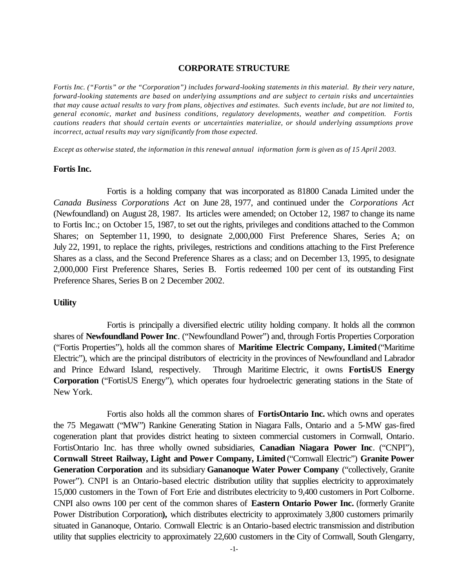#### **CORPORATE STRUCTURE**

*Fortis Inc. ("Fortis" or the "Corporation") includes forward-looking statements in this material. By their very nature, forward-looking statements are based on underlying assumptions and are subject to certain risks and uncertainties that may cause actual results to vary from plans, objectives and estimates. Such events include, but are not limited to, general economic, market and business conditions, regulatory developments, weather and competition. Fortis cautions readers that should certain events or uncertainties materialize, or should underlying assumptions prove incorrect, actual results may vary significantly from those expected*.

*Except as otherwise stated, the information in this renewal annual information form is given as of 15 April 2003.*

#### **Fortis Inc.**

Fortis is a holding company that was incorporated as 81800 Canada Limited under the *Canada Business Corporations Act* on June 28, 1977, and continued under the *Corporations Act* (Newfoundland) on August 28, 1987. Its articles were amended; on October 12, 1987 to change its name to Fortis Inc.; on October 15, 1987, to set out the rights, privileges and conditions attached to the Common Shares; on September 11, 1990, to designate 2,000,000 First Preference Shares, Series A; on July 22, 1991, to replace the rights, privileges, restrictions and conditions attaching to the First Preference Shares as a class, and the Second Preference Shares as a class; and on December 13, 1995, to designate 2,000,000 First Preference Shares, Series B. Fortis redeemed 100 per cent of its outstanding First Preference Shares, Series B on 2 December 2002.

#### **Utility**

Fortis is principally a diversified electric utility holding company. It holds all the common shares of **Newfoundland Power Inc**. ("Newfoundland Power") and, through Fortis Properties Corporation ("Fortis Properties"), holds all the common shares of **Maritime Electric Company, Limited** ("Maritime Electric"), which are the principal distributors of electricity in the provinces of Newfoundland and Labrador and Prince Edward Island, respectively. Through Maritime Electric, it owns **FortisUS Energy Corporation** ("FortisUS Energy"), which operates four hydroelectric generating stations in the State of New York.

Fortis also holds all the common shares of **FortisOntario Inc.** which owns and operates the 75 Megawatt ("MW") Rankine Generating Station in Niagara Falls, Ontario and a 5-MW gas-fired cogeneration plant that provides district heating to sixteen commercial customers in Cornwall, Ontario. FortisOntario Inc. has three wholly owned subsidiaries, **Canadian Niagara Power Inc**. ("CNPI"), **Cornwall Street Railway, Light and Power Company, Limited** ("Cornwall Electric") **Granite Power Generation Corporation** and its subsidiary **Gananoque Water Power Company** ("collectively, Granite Power"). CNPI is an Ontario-based electric distribution utility that supplies electricity to approximately 15,000 customers in the Town of Fort Erie and distributes electricity to 9,400 customers in Port Colborne. CNPI also owns 100 per cent of the common shares of **Eastern Ontario Power Inc.** (formerly Granite Power Distribution Corporation**),** which distributes electricity to approximately 3,800 customers primarily situated in Gananoque, Ontario. Cornwall Electric is an Ontario-based electric transmission and distribution utility that supplies electricity to approximately 22,600 customers in the City of Cornwall, South Glengarry,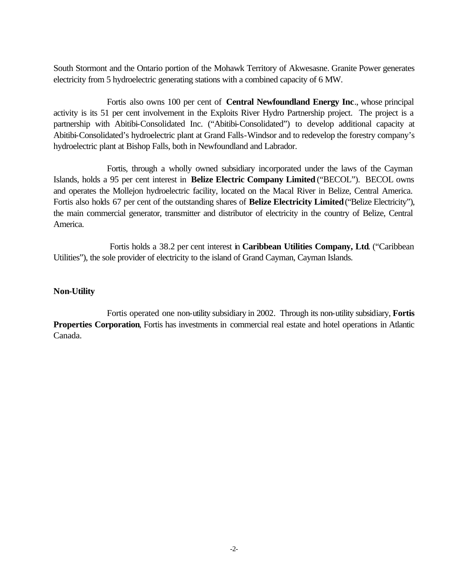South Stormont and the Ontario portion of the Mohawk Territory of Akwesasne. Granite Power generates electricity from 5 hydroelectric generating stations with a combined capacity of 6 MW.

Fortis also owns 100 per cent of **Central Newfoundland Energy Inc**., whose principal activity is its 51 per cent involvement in the Exploits River Hydro Partnership project. The project is a partnership with Abitibi-Consolidated Inc. ("Abitibi-Consolidated") to develop additional capacity at Abitibi-Consolidated's hydroelectric plant at Grand Falls-Windsor and to redevelop the forestry company's hydroelectric plant at Bishop Falls, both in Newfoundland and Labrador.

Fortis, through a wholly owned subsidiary incorporated under the laws of the Cayman Islands, holds a 95 per cent interest in **Belize Electric Company Limited** ("BECOL"). BECOL owns and operates the Mollejon hydroelectric facility, located on the Macal River in Belize, Central America. Fortis also holds 67 per cent of the outstanding shares of **Belize Electricity Limited** ("Belize Electricity"), the main commercial generator, transmitter and distributor of electricity in the country of Belize, Central America.

 Fortis holds a 38.2 per cent interest in **Caribbean Utilities Company, Ltd**. ("Caribbean Utilities"), the sole provider of electricity to the island of Grand Cayman, Cayman Islands.

## **Non-Utility**

Fortis operated one non-utility subsidiary in 2002. Through its non-utility subsidiary, **Fortis Properties Corporation**, Fortis has investments in commercial real estate and hotel operations in Atlantic Canada.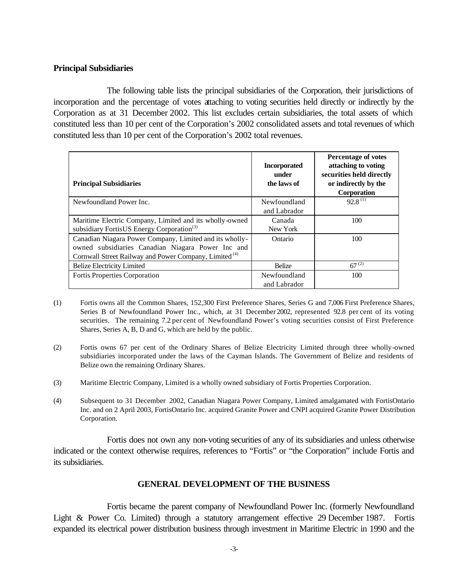## **Principal Subsidiaries**

The following table lists the principal subsidiaries of the Corporation, their jurisdictions of incorporation and the percentage of votes attaching to voting securities held directly or indirectly by the Corporation as at 31 December 2002. This list excludes certain subsidiaries, the total assets of which constituted less than 10 per cent of the Corporation's 2002 consolidated assets and total revenues of which constituted less than 10 per cent of the Corporation's 2002 total revenues.

| <b>Principal Subsidiaries</b>                                     | <b>Incorporated</b><br>under<br>the laws of | <b>Percentage of votes</b><br>attaching to voting<br>securities held directly<br>or indirectly by the<br><b>Corporation</b> |
|-------------------------------------------------------------------|---------------------------------------------|-----------------------------------------------------------------------------------------------------------------------------|
| Newfoundland Power Inc.                                           | Newfoundland                                | $92.8^{(1)}$                                                                                                                |
|                                                                   | and Labrador                                |                                                                                                                             |
| Maritime Electric Company, Limited and its wholly-owned           | Canada                                      | 100                                                                                                                         |
| subsidiary FortisUS Energy Corporation <sup>(3)</sup>             | New York                                    |                                                                                                                             |
| Canadian Niagara Power Company, Limited and its wholly-           | Ontario                                     | 100                                                                                                                         |
| owned subsidiaries Canadian Niagara Power Inc and                 |                                             |                                                                                                                             |
| Cornwall Street Railway and Power Company, Limited <sup>(4)</sup> |                                             |                                                                                                                             |
| <b>Belize Electricity Limited</b>                                 | <b>Belize</b>                               | $67^{(2)}$                                                                                                                  |
| Fortis Properties Corporation                                     | Newfoundland                                | 100                                                                                                                         |
|                                                                   | and Labrador                                |                                                                                                                             |

- (1) Fortis owns all the Common Shares, 152,300 First Preference Shares, Series G and 7,006 First Preference Shares, Series B of Newfoundland Power Inc., which, at 31 December 2002, represented 92.8 per cent of its voting securities. The remaining 7.2 per cent of Newfoundland Power's voting securities consist of First Preference Shares, Series A, B, D and G, which are held by the public.
- (2) Fortis owns 67 per cent of the Ordinary Shares of Belize Electricity Limited through three wholly-owned subsidiaries incorporated under the laws of the Cayman Islands. The Government of Belize and residents of Belize own the remaining Ordinary Shares.
- (3) Maritime Electric Company, Limited is a wholly owned subsidiary of Fortis Properties Corporation.
- (4) Subsequent to 31 December 2002, Canadian Niagara Power Company, Limited amalgamated with FortisOntario Inc. and on 2 April 2003, FortisOntario Inc. acquired Granite Power and CNPI acquired Granite Power Distribution Corporation.

Fortis does not own any non-voting securities of any of its subsidiaries and unless otherwise indicated or the context otherwise requires, references to "Fortis" or "the Corporation" include Fortis and its subsidiaries.

## **GENERAL DEVELOPMENT OF THE BUSINESS**

Fortis became the parent company of Newfoundland Power Inc. (formerly Newfoundland Light & Power Co. Limited) through a statutory arrangement effective 29 December 1987. Fortis expanded its electrical power distribution business through investment in Maritime Electric in 1990 and the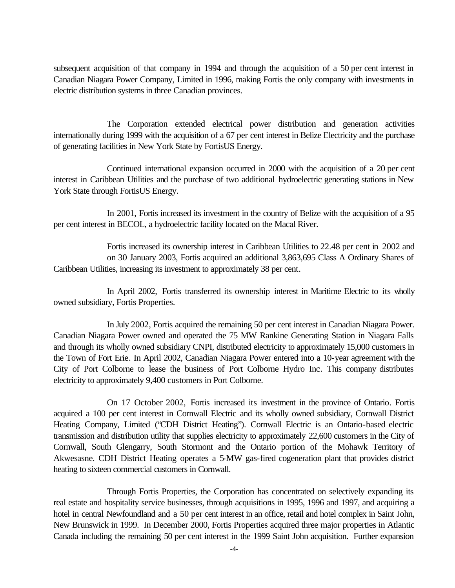subsequent acquisition of that company in 1994 and through the acquisition of a 50 per cent interest in Canadian Niagara Power Company, Limited in 1996, making Fortis the only company with investments in electric distribution systems in three Canadian provinces.

The Corporation extended electrical power distribution and generation activities internationally during 1999 with the acquisition of a 67 per cent interest in Belize Electricity and the purchase of generating facilities in New York State by FortisUS Energy.

Continued international expansion occurred in 2000 with the acquisition of a 20 per cent interest in Caribbean Utilities and the purchase of two additional hydroelectric generating stations in New York State through FortisUS Energy.

In 2001, Fortis increased its investment in the country of Belize with the acquisition of a 95 per cent interest in BECOL, a hydroelectric facility located on the Macal River.

Fortis increased its ownership interest in Caribbean Utilities to 22.48 per cent in 2002 and on 30 January 2003, Fortis acquired an additional 3,863,695 Class A Ordinary Shares of Caribbean Utilities, increasing its investment to approximately 38 per cent.

In April 2002, Fortis transferred its ownership interest in Maritime Electric to its wholly owned subsidiary, Fortis Properties.

In July 2002, Fortis acquired the remaining 50 per cent interest in Canadian Niagara Power. Canadian Niagara Power owned and operated the 75 MW Rankine Generating Station in Niagara Falls and through its wholly owned subsidiary CNPI, distributed electricity to approximately 15,000 customers in the Town of Fort Erie. In April 2002, Canadian Niagara Power entered into a 10-year agreement with the City of Port Colborne to lease the business of Port Colborne Hydro Inc. This company distributes electricity to approximately 9,400 customers in Port Colborne.

On 17 October 2002, Fortis increased its investment in the province of Ontario. Fortis acquired a 100 per cent interest in Cornwall Electric and its wholly owned subsidiary, Cornwall District Heating Company, Limited ("CDH District Heating"). Cornwall Electric is an Ontario-based electric transmission and distribution utility that supplies electricity to approximately 22,600 customers in the City of Cornwall, South Glengarry, South Stormont and the Ontario portion of the Mohawk Territory of Akwesasne. CDH District Heating operates a 5-MW gas-fired cogeneration plant that provides district heating to sixteen commercial customers in Cornwall.

Through Fortis Properties, the Corporation has concentrated on selectively expanding its real estate and hospitality service businesses, through acquisitions in 1995, 1996 and 1997, and acquiring a hotel in central Newfoundland and a 50 per cent interest in an office, retail and hotel complex in Saint John, New Brunswick in 1999. In December 2000, Fortis Properties acquired three major properties in Atlantic Canada including the remaining 50 per cent interest in the 1999 Saint John acquisition. Further expansion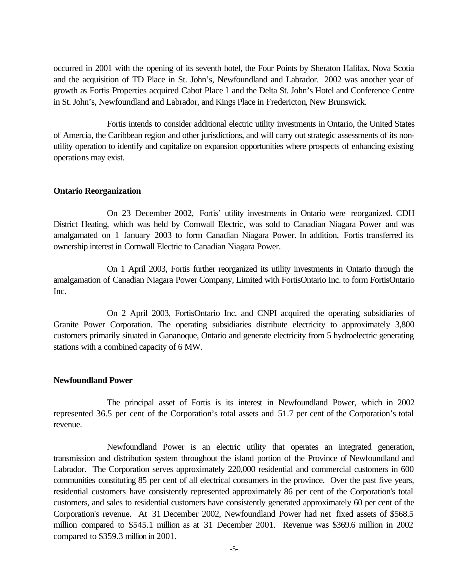occurred in 2001 with the opening of its seventh hotel, the Four Points by Sheraton Halifax, Nova Scotia and the acquisition of TD Place in St. John's, Newfoundland and Labrador. 2002 was another year of growth as Fortis Properties acquired Cabot Place I and the Delta St. John's Hotel and Conference Centre in St. John's, Newfoundland and Labrador, and Kings Place in Fredericton, New Brunswick.

Fortis intends to consider additional electric utility investments in Ontario, the United States of Amercia, the Caribbean region and other jurisdictions, and will carry out strategic assessments of its nonutility operation to identify and capitalize on expansion opportunities where prospects of enhancing existing operations may exist.

#### **Ontario Reorganization**

On 23 December 2002, Fortis' utility investments in Ontario were reorganized. CDH District Heating, which was held by Cornwall Electric, was sold to Canadian Niagara Power and was amalgamated on 1 January 2003 to form Canadian Niagara Power. In addition, Fortis transferred its ownership interest in Cornwall Electric to Canadian Niagara Power.

On 1 April 2003, Fortis further reorganized its utility investments in Ontario through the amalgamation of Canadian Niagara Power Company, Limited with FortisOntario Inc. to form FortisOntario Inc.

On 2 April 2003, FortisOntario Inc. and CNPI acquired the operating subsidiaries of Granite Power Corporation. The operating subsidiaries distribute electricity to approximately 3,800 customers primarily situated in Gananoque, Ontario and generate electricity from 5 hydroelectric generating stations with a combined capacity of 6 MW.

#### **Newfoundland Power**

The principal asset of Fortis is its interest in Newfoundland Power, which in 2002 represented 36.5 per cent of the Corporation's total assets and 51.7 per cent of the Corporation's total revenue.

Newfoundland Power is an electric utility that operates an integrated generation, transmission and distribution system throughout the island portion of the Province of Newfoundland and Labrador. The Corporation serves approximately 220,000 residential and commercial customers in 600 communities constituting 85 per cent of all electrical consumers in the province. Over the past five years, residential customers have consistently represented approximately 86 per cent of the Corporation's total customers, and sales to residential customers have consistently generated approximately 60 per cent of the Corporation's revenue. At 31 December 2002, Newfoundland Power had net fixed assets of \$568.5 million compared to \$545.1 million as at 31 December 2001. Revenue was \$369.6 million in 2002 compared to \$359.3 million in 2001.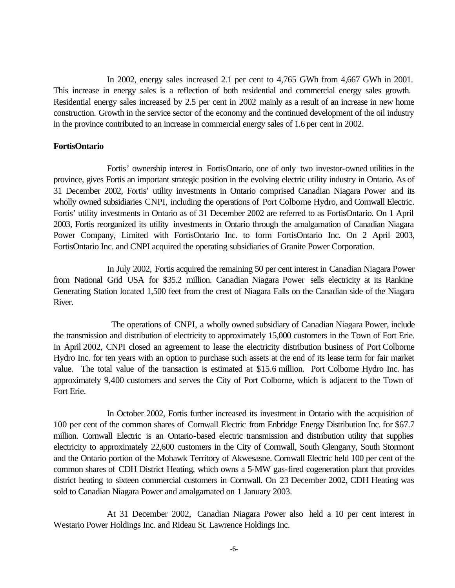In 2002, energy sales increased 2.1 per cent to 4,765 GWh from 4,667 GWh in 2001. This increase in energy sales is a reflection of both residential and commercial energy sales growth. Residential energy sales increased by 2.5 per cent in 2002 mainly as a result of an increase in new home construction. Growth in the service sector of the economy and the continued development of the oil industry in the province contributed to an increase in commercial energy sales of 1.6 per cent in 2002.

#### **FortisOntario**

Fortis' ownership interest in FortisOntario, one of only two investor-owned utilities in the province, gives Fortis an important strategic position in the evolving electric utility industry in Ontario. As of 31 December 2002, Fortis' utility investments in Ontario comprised Canadian Niagara Power and its wholly owned subsidiaries CNPI, including the operations of Port Colborne Hydro, and Cornwall Electric. Fortis' utility investments in Ontario as of 31 December 2002 are referred to as FortisOntario. On 1 April 2003, Fortis reorganized its utility investments in Ontario through the amalgamation of Canadian Niagara Power Company, Limited with FortisOntario Inc. to form FortisOntario Inc. On 2 April 2003, FortisOntario Inc. and CNPI acquired the operating subsidiaries of Granite Power Corporation.

In July 2002, Fortis acquired the remaining 50 per cent interest in Canadian Niagara Power from National Grid USA for \$35.2 million. Canadian Niagara Power sells electricity at its Rankine Generating Station located 1,500 feet from the crest of Niagara Falls on the Canadian side of the Niagara River.

The operations of CNPI, a wholly owned subsidiary of Canadian Niagara Power, include the transmission and distribution of electricity to approximately 15,000 customers in the Town of Fort Erie. In April 2002, CNPI closed an agreement to lease the electricity distribution business of Port Colborne Hydro Inc. for ten years with an option to purchase such assets at the end of its lease term for fair market value. The total value of the transaction is estimated at \$15.6 million. Port Colborne Hydro Inc. has approximately 9,400 customers and serves the City of Port Colborne, which is adjacent to the Town of Fort Erie.

In October 2002, Fortis further increased its investment in Ontario with the acquisition of 100 per cent of the common shares of Cornwall Electric from Enbridge Energy Distribution Inc. for \$67.7 million. Cornwall Electric is an Ontario-based electric transmission and distribution utility that supplies electricity to approximately 22,600 customers in the City of Cornwall, South Glengarry, South Stormont and the Ontario portion of the Mohawk Territory of Akwesasne. Cornwall Electric held 100 per cent of the common shares of CDH District Heating, which owns a 5-MW gas-fired cogeneration plant that provides district heating to sixteen commercial customers in Cornwall. On 23 December 2002, CDH Heating was sold to Canadian Niagara Power and amalgamated on 1 January 2003.

At 31 December 2002, Canadian Niagara Power also held a 10 per cent interest in Westario Power Holdings Inc. and Rideau St. Lawrence Holdings Inc.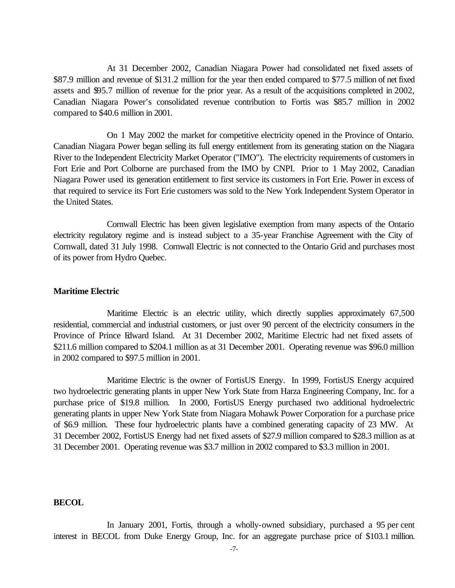At 31 December 2002, Canadian Niagara Power had consolidated net fixed assets of \$87.9 million and revenue of \$131.2 million for the year then ended compared to \$77.5 million of net fixed assets and \$95.7 million of revenue for the prior year. As a result of the acquisitions completed in 2002, Canadian Niagara Power's consolidated revenue contribution to Fortis was \$85.7 million in 2002 compared to \$40.6 million in 2001.

On 1 May 2002 the market for competitive electricity opened in the Province of Ontario. Canadian Niagara Power began selling its full energy entitlement from its generating station on the Niagara River to the Independent Electricity Market Operator ("IMO"). The electricity requirements of customers in Fort Erie and Port Colborne are purchased from the IMO by CNPI. Prior to 1 May 2002, Canadian Niagara Power used its generation entitlement to first service its customers in Fort Erie. Power in excess of that required to service its Fort Erie customers was sold to the New York Independent System Operator in the United States.

Cornwall Electric has been given legislative exemption from many aspects of the Ontario electricity regulatory regime and is instead subject to a 35-year Franchise Agreement with the City of Cornwall, dated 31 July 1998. Cornwall Electric is not connected to the Ontario Grid and purchases most of its power from Hydro Quebec.

#### **Maritime Electric**

Maritime Electric is an electric utility, which directly supplies approximately 67,500 residential, commercial and industrial customers, or just over 90 percent of the electricity consumers in the Province of Prince Edward Island. At 31 December 2002, Maritime Electric had net fixed assets of \$211.6 million compared to \$204.1 million as at 31 December 2001. Operating revenue was \$96.0 million in 2002 compared to \$97.5 million in 2001.

Maritime Electric is the owner of FortisUS Energy. In 1999, FortisUS Energy acquired two hydroelectric generating plants in upper New York State from Harza Engineering Company, Inc. for a purchase price of \$19.8 million. In 2000, FortisUS Energy purchased two additional hydroelectric generating plants in upper New York State from Niagara Mohawk Power Corporation for a purchase price of \$6.9 million. These four hydroelectric plants have a combined generating capacity of 23 MW. At 31 December 2002, FortisUS Energy had net fixed assets of \$27.9 million compared to \$28.3 million as at 31 December 2001. Operating revenue was \$3.7 million in 2002 compared to \$3.3 million in 2001.

#### **BECOL**

In January 2001, Fortis, through a wholly-owned subsidiary, purchased a 95 per cent interest in BECOL from Duke Energy Group, Inc. for an aggregate purchase price of \$103.1 million.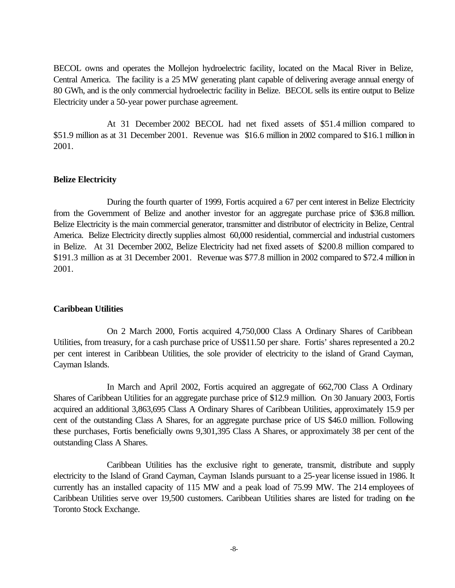BECOL owns and operates the Mollejon hydroelectric facility, located on the Macal River in Belize, Central America. The facility is a 25 MW generating plant capable of delivering average annual energy of 80 GWh, and is the only commercial hydroelectric facility in Belize. BECOL sells its entire output to Belize Electricity under a 50-year power purchase agreement.

At 31 December 2002 BECOL had net fixed assets of \$51.4 million compared to \$51.9 million as at 31 December 2001. Revenue was \$16.6 million in 2002 compared to \$16.1 million in 2001.

#### **Belize Electricity**

During the fourth quarter of 1999, Fortis acquired a 67 per cent interest in Belize Electricity from the Government of Belize and another investor for an aggregate purchase price of \$36.8 million. Belize Electricity is the main commercial generator, transmitter and distributor of electricity in Belize, Central America. Belize Electricity directly supplies almost 60,000 residential, commercial and industrial customers in Belize. At 31 December 2002, Belize Electricity had net fixed assets of \$200.8 million compared to \$191.3 million as at 31 December 2001. Revenue was \$77.8 million in 2002 compared to \$72.4 million in 2001.

## **Caribbean Utilities**

On 2 March 2000, Fortis acquired 4,750,000 Class A Ordinary Shares of Caribbean Utilities, from treasury, for a cash purchase price of US\$11.50 per share. Fortis' shares represented a 20.2 per cent interest in Caribbean Utilities, the sole provider of electricity to the island of Grand Cayman, Cayman Islands.

In March and April 2002, Fortis acquired an aggregate of 662,700 Class A Ordinary Shares of Caribbean Utilities for an aggregate purchase price of \$12.9 million. On 30 January 2003, Fortis acquired an additional 3,863,695 Class A Ordinary Shares of Caribbean Utilities, approximately 15.9 per cent of the outstanding Class A Shares, for an aggregate purchase price of US \$46.0 million. Following these purchases, Fortis beneficially owns 9,301,395 Class A Shares, or approximately 38 per cent of the outstanding Class A Shares.

Caribbean Utilities has the exclusive right to generate, transmit, distribute and supply electricity to the Island of Grand Cayman, Cayman Islands pursuant to a 25-year license issued in 1986. It currently has an installed capacity of 115 MW and a peak load of 75.99 MW. The 214 employees of Caribbean Utilities serve over 19,500 customers. Caribbean Utilities shares are listed for trading on the Toronto Stock Exchange.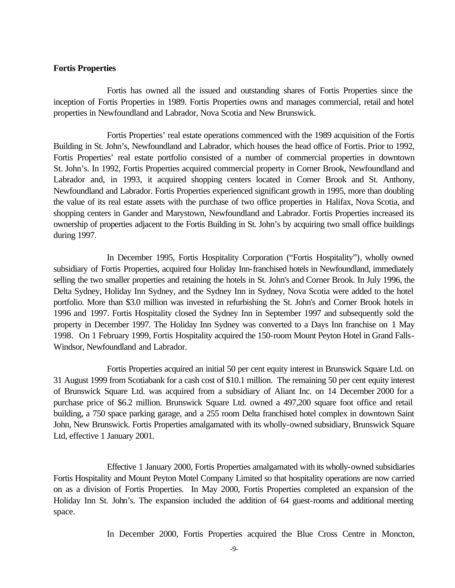#### **Fortis Properties**

Fortis has owned all the issued and outstanding shares of Fortis Properties since the inception of Fortis Properties in 1989. Fortis Properties owns and manages commercial, retail and hotel properties in Newfoundland and Labrador, Nova Scotia and New Brunswick.

Fortis Properties' real estate operations commenced with the 1989 acquisition of the Fortis Building in St. John's, Newfoundland and Labrador, which houses the head office of Fortis. Prior to 1992, Fortis Properties' real estate portfolio consisted of a number of commercial properties in downtown St. John's. In 1992, Fortis Properties acquired commercial property in Corner Brook, Newfoundland and Labrador and, in 1993, it acquired shopping centers located in Corner Brook and St. Anthony, Newfoundland and Labrador. Fortis Properties experienced significant growth in 1995, more than doubling the value of its real estate assets with the purchase of two office properties in Halifax, Nova Scotia, and shopping centers in Gander and Marystown, Newfoundland and Labrador. Fortis Properties increased its ownership of properties adjacent to the Fortis Building in St. John's by acquiring two small office buildings during 1997.

In December 1995, Fortis Hospitality Corporation ("Fortis Hospitality"), wholly owned subsidiary of Fortis Properties, acquired four Holiday Inn-franchised hotels in Newfoundland, immediately selling the two smaller properties and retaining the hotels in St. John's and Corner Brook. In July 1996, the Delta Sydney, Holiday Inn Sydney, and the Sydney Inn in Sydney, Nova Scotia were added to the hotel portfolio. More than \$3.0 million was invested in refurbishing the St. John's and Corner Brook hotels in 1996 and 1997. Fortis Hospitality closed the Sydney Inn in September 1997 and subsequently sold the property in December 1997. The Holiday Inn Sydney was converted to a Days Inn franchise on 1 May 1998. On 1 February 1999, Fortis Hospitality acquired the 150-room Mount Peyton Hotel in Grand Falls-Windsor, Newfoundland and Labrador.

Fortis Properties acquired an initial 50 per cent equity interest in Brunswick Square Ltd. on 31 August 1999 from Scotiabank for a cash cost of \$10.1 million. The remaining 50 per cent equity interest of Brunswick Square Ltd. was acquired from a subsidiary of Aliant Inc. on 14 December 2000 for a purchase price of \$6.2 million. Brunswick Square Ltd. owned a 497,200 square foot office and retail building, a 750 space parking garage, and a 255 room Delta franchised hotel complex in downtown Saint John, New Brunswick. Fortis Properties amalgamated with its wholly-owned subsidiary, Brunswick Square Ltd, effective 1 January 2001.

Effective 1 January 2000, Fortis Properties amalgamated with its wholly-owned subsidiaries Fortis Hospitality and Mount Peyton Motel Company Limited so that hospitality operations are now carried on as a division of Fortis Properties. In May 2000, Fortis Properties completed an expansion of the Holiday Inn St. John's. The expansion included the addition of 64 guest-rooms and additional meeting space.

In December 2000, Fortis Properties acquired the Blue Cross Centre in Moncton,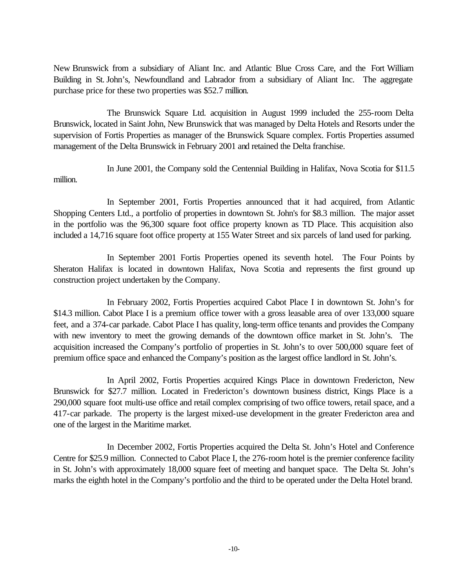New Brunswick from a subsidiary of Aliant Inc. and Atlantic Blue Cross Care, and the Fort William Building in St. John's, Newfoundland and Labrador from a subsidiary of Aliant Inc. The aggregate purchase price for these two properties was \$52.7 million.

The Brunswick Square Ltd. acquisition in August 1999 included the 255-room Delta Brunswick, located in Saint John, New Brunswick that was managed by Delta Hotels and Resorts under the supervision of Fortis Properties as manager of the Brunswick Square complex. Fortis Properties assumed management of the Delta Brunswick in February 2001 and retained the Delta franchise.

In June 2001, the Company sold the Centennial Building in Halifax, Nova Scotia for \$11.5 million.

In September 2001, Fortis Properties announced that it had acquired, from Atlantic Shopping Centers Ltd., a portfolio of properties in downtown St. John's for \$8.3 million. The major asset in the portfolio was the 96,300 square foot office property known as TD Place. This acquisition also included a 14,716 square foot office property at 155 Water Street and six parcels of land used for parking.

In September 2001 Fortis Properties opened its seventh hotel. The Four Points by Sheraton Halifax is located in downtown Halifax, Nova Scotia and represents the first ground up construction project undertaken by the Company.

In February 2002, Fortis Properties acquired Cabot Place I in downtown St. John's for \$14.3 million. Cabot Place I is a premium office tower with a gross leasable area of over 133,000 square feet, and a 374-car parkade. Cabot Place I has quality, long-term office tenants and provides the Company with new inventory to meet the growing demands of the downtown office market in St. John's. The acquisition increased the Company's portfolio of properties in St. John's to over 500,000 square feet of premium office space and enhanced the Company's position as the largest office landlord in St. John's.

In April 2002, Fortis Properties acquired Kings Place in downtown Fredericton, New Brunswick for \$27.7 million. Located in Fredericton's downtown business district, Kings Place is a 290,000 square foot multi-use office and retail complex comprising of two office towers, retail space, and a 417-car parkade. The property is the largest mixed-use development in the greater Fredericton area and one of the largest in the Maritime market.

In December 2002, Fortis Properties acquired the Delta St. John's Hotel and Conference Centre for \$25.9 million. Connected to Cabot Place I, the 276-room hotel is the premier conference facility in St. John's with approximately 18,000 square feet of meeting and banquet space. The Delta St. John's marks the eighth hotel in the Company's portfolio and the third to be operated under the Delta Hotel brand.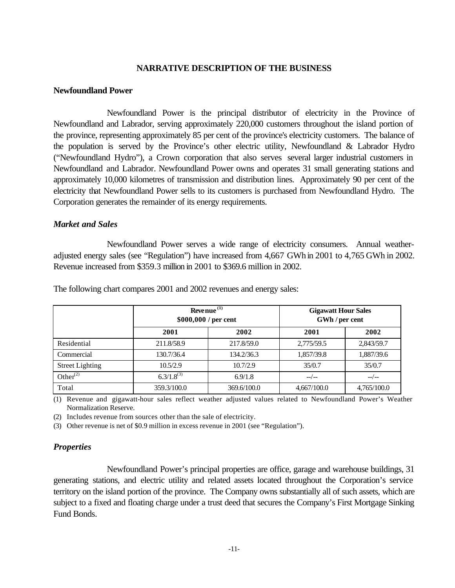#### **NARRATIVE DESCRIPTION OF THE BUSINESS**

#### **Newfoundland Power**

Newfoundland Power is the principal distributor of electricity in the Province of Newfoundland and Labrador, serving approximately 220,000 customers throughout the island portion of the province, representing approximately 85 per cent of the province's electricity customers. The balance of the population is served by the Province's other electric utility, Newfoundland & Labrador Hydro ("Newfoundland Hydro"), a Crown corporation that also serves several larger industrial customers in Newfoundland and Labrador. Newfoundland Power owns and operates 31 small generating stations and approximately 10,000 kilometres of transmission and distribution lines. Approximately 90 per cent of the electricity that Newfoundland Power sells to its customers is purchased from Newfoundland Hydro. The Corporation generates the remainder of its energy requirements.

#### *Market and Sales*

Newfoundland Power serves a wide range of electricity consumers. Annual weatheradjusted energy sales (see "Regulation") have increased from 4,667 GWh in 2001 to 4,765 GWh in 2002. Revenue increased from \$359.3 million in 2001 to \$369.6 million in 2002.

|                        | Revenue $(1)$<br>\$000,000 / per cent |             | <b>Gigawatt Hour Sales</b><br>GWh / per cent |             |
|------------------------|---------------------------------------|-------------|----------------------------------------------|-------------|
|                        | 2001                                  | 2002        | 2001                                         | 2002        |
| Residential            | 211.8/58.9                            | 217.8/59.0  | 2,775/59.5                                   | 2,843/59.7  |
| Commercial             | 130.7/36.4                            | 134.2/36.3  | 1,857/39.8                                   | 1,887/39.6  |
| <b>Street Lighting</b> | 10.5/2.9                              | 10.7/2.9    | 35/0.7                                       | 35/0.7      |
| Other $^{(2)}$         | $6.3/1.8^{(3)}$                       | 6.9/1.8     | $-$ / $-$                                    | $-$ / $-$   |
| Total                  | 359.3/100.0                           | 369.6/100.0 | 4,667/100.0                                  | 4,765/100.0 |

The following chart compares 2001 and 2002 revenues and energy sales:

(1) Revenue and gigawatt-hour sales reflect weather adjusted values related to Newfoundland Power's Weather Normalization Reserve.

(2) Includes revenue from sources other than the sale of electricity.

(3) Other revenue is net of \$0.9 million in excess revenue in 2001 (see "Regulation").

## *Properties*

Newfoundland Power's principal properties are office, garage and warehouse buildings, 31 generating stations, and electric utility and related assets located throughout the Corporation's service territory on the island portion of the province. The Company owns substantially all of such assets, which are subject to a fixed and floating charge under a trust deed that secures the Company's First Mortgage Sinking Fund Bonds.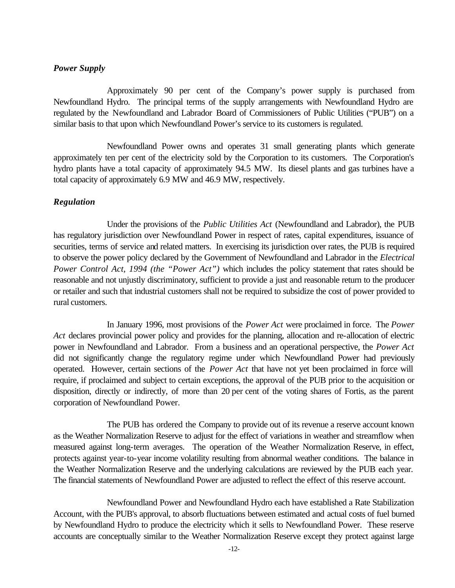#### *Power Supply*

Approximately 90 per cent of the Company's power supply is purchased from Newfoundland Hydro. The principal terms of the supply arrangements with Newfoundland Hydro are regulated by the Newfoundland and Labrador Board of Commissioners of Public Utilities ("PUB") on a similar basis to that upon which Newfoundland Power's service to its customers is regulated.

Newfoundland Power owns and operates 31 small generating plants which generate approximately ten per cent of the electricity sold by the Corporation to its customers. The Corporation's hydro plants have a total capacity of approximately 94.5 MW. Its diesel plants and gas turbines have a total capacity of approximately 6.9 MW and 46.9 MW, respectively.

## *Regulation*

Under the provisions of the *Public Utilities Act* (Newfoundland and Labrador), the PUB has regulatory jurisdiction over Newfoundland Power in respect of rates, capital expenditures, issuance of securities, terms of service and related matters. In exercising its jurisdiction over rates, the PUB is required to observe the power policy declared by the Government of Newfoundland and Labrador in the *Electrical Power Control Act, 1994 (the "Power Act")* which includes the policy statement that rates should be reasonable and not unjustly discriminatory, sufficient to provide a just and reasonable return to the producer or retailer and such that industrial customers shall not be required to subsidize the cost of power provided to rural customers.

In January 1996, most provisions of the *Power Act* were proclaimed in force. The *Power Act* declares provincial power policy and provides for the planning, allocation and re-allocation of electric power in Newfoundland and Labrador. From a business and an operational perspective, the *Power Act* did not significantly change the regulatory regime under which Newfoundland Power had previously operated. However, certain sections of the *Power Act* that have not yet been proclaimed in force will require, if proclaimed and subject to certain exceptions, the approval of the PUB prior to the acquisition or disposition, directly or indirectly, of more than 20 per cent of the voting shares of Fortis, as the parent corporation of Newfoundland Power.

The PUB has ordered the Company to provide out of its revenue a reserve account known as the Weather Normalization Reserve to adjust for the effect of variations in weather and streamflow when measured against long-term averages. The operation of the Weather Normalization Reserve, in effect, protects against year-to-year income volatility resulting from abnormal weather conditions. The balance in the Weather Normalization Reserve and the underlying calculations are reviewed by the PUB each year. The financial statements of Newfoundland Power are adjusted to reflect the effect of this reserve account.

Newfoundland Power and Newfoundland Hydro each have established a Rate Stabilization Account, with the PUB's approval, to absorb fluctuations between estimated and actual costs of fuel burned by Newfoundland Hydro to produce the electricity which it sells to Newfoundland Power. These reserve accounts are conceptually similar to the Weather Normalization Reserve except they protect against large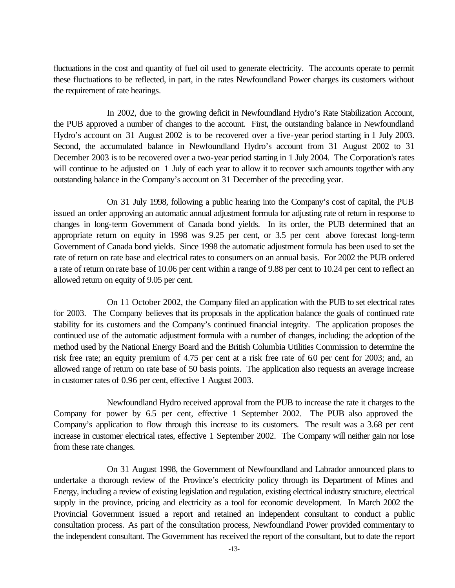fluctuations in the cost and quantity of fuel oil used to generate electricity. The accounts operate to permit these fluctuations to be reflected, in part, in the rates Newfoundland Power charges its customers without the requirement of rate hearings.

In 2002, due to the growing deficit in Newfoundland Hydro's Rate Stabilization Account, the PUB approved a number of changes to the account. First, the outstanding balance in Newfoundland Hydro's account on 31 August 2002 is to be recovered over a five-year period starting in 1 July 2003. Second, the accumulated balance in Newfoundland Hydro's account from 31 August 2002 to 31 December 2003 is to be recovered over a two-year period starting in 1 July 2004. The Corporation's rates will continue to be adjusted on 1 July of each year to allow it to recover such amounts together with any outstanding balance in the Company's account on 31 December of the preceding year.

On 31 July 1998, following a public hearing into the Company's cost of capital, the PUB issued an order approving an automatic annual adjustment formula for adjusting rate of return in response to changes in long-term Government of Canada bond yields. In its order, the PUB determined that an appropriate return on equity in 1998 was 9.25 per cent, or 3.5 per cent above forecast long-term Government of Canada bond yields. Since 1998 the automatic adjustment formula has been used to set the rate of return on rate base and electrical rates to consumers on an annual basis. For 2002 the PUB ordered a rate of return on rate base of 10.06 per cent within a range of 9.88 per cent to 10.24 per cent to reflect an allowed return on equity of 9.05 per cent.

On 11 October 2002, the Company filed an application with the PUB to set electrical rates for 2003. The Company believes that its proposals in the application balance the goals of continued rate stability for its customers and the Company's continued financial integrity. The application proposes the continued use of the automatic adjustment formula with a number of changes, including: the adoption of the method used by the National Energy Board and the British Columbia Utilities Commission to determine the risk free rate; an equity premium of 4.75 per cent at a risk free rate of 6.0 per cent for 2003; and, an allowed range of return on rate base of 50 basis points. The application also requests an average increase in customer rates of 0.96 per cent, effective 1 August 2003.

Newfoundland Hydro received approval from the PUB to increase the rate it charges to the Company for power by 6.5 per cent, effective 1 September 2002. The PUB also approved the Company's application to flow through this increase to its customers. The result was a 3.68 per cent increase in customer electrical rates, effective 1 September 2002. The Company will neither gain nor lose from these rate changes.

On 31 August 1998, the Government of Newfoundland and Labrador announced plans to undertake a thorough review of the Province's electricity policy through its Department of Mines and Energy, including a review of existing legislation and regulation, existing electrical industry structure, electrical supply in the province, pricing and electricity as a tool for economic development. In March 2002 the Provincial Government issued a report and retained an independent consultant to conduct a public consultation process. As part of the consultation process, Newfoundland Power provided commentary to the independent consultant. The Government has received the report of the consultant, but to date the report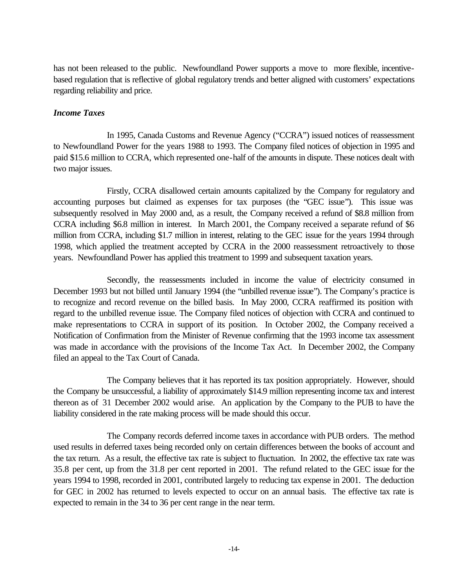has not been released to the public. Newfoundland Power supports a move to more flexible, incentivebased regulation that is reflective of global regulatory trends and better aligned with customers' expectations regarding reliability and price.

#### *Income Taxes*

In 1995, Canada Customs and Revenue Agency ("CCRA") issued notices of reassessment to Newfoundland Power for the years 1988 to 1993. The Company filed notices of objection in 1995 and paid \$15.6 million to CCRA, which represented one-half of the amounts in dispute. These notices dealt with two major issues.

Firstly, CCRA disallowed certain amounts capitalized by the Company for regulatory and accounting purposes but claimed as expenses for tax purposes (the "GEC issue"). This issue was subsequently resolved in May 2000 and, as a result, the Company received a refund of \$8.8 million from CCRA including \$6.8 million in interest. In March 2001, the Company received a separate refund of \$6 million from CCRA, including \$1.7 million in interest, relating to the GEC issue for the years 1994 through 1998, which applied the treatment accepted by CCRA in the 2000 reassessment retroactively to those years. Newfoundland Power has applied this treatment to 1999 and subsequent taxation years.

Secondly, the reassessments included in income the value of electricity consumed in December 1993 but not billed until January 1994 (the "unbilled revenue issue"). The Company's practice is to recognize and record revenue on the billed basis. In May 2000, CCRA reaffirmed its position with regard to the unbilled revenue issue. The Company filed notices of objection with CCRA and continued to make representations to CCRA in support of its position. In October 2002, the Company received a Notification of Confirmation from the Minister of Revenue confirming that the 1993 income tax assessment was made in accordance with the provisions of the Income Tax Act. In December 2002, the Company filed an appeal to the Tax Court of Canada.

The Company believes that it has reported its tax position appropriately. However, should the Company be unsuccessful, a liability of approximately \$14.9 million representing income tax and interest thereon as of 31 December 2002 would arise. An application by the Company to the PUB to have the liability considered in the rate making process will be made should this occur.

The Company records deferred income taxes in accordance with PUB orders. The method used results in deferred taxes being recorded only on certain differences between the books of account and the tax return. As a result, the effective tax rate is subject to fluctuation. In 2002, the effective tax rate was 35.8 per cent, up from the 31.8 per cent reported in 2001. The refund related to the GEC issue for the years 1994 to 1998, recorded in 2001, contributed largely to reducing tax expense in 2001. The deduction for GEC in 2002 has returned to levels expected to occur on an annual basis. The effective tax rate is expected to remain in the 34 to 36 per cent range in the near term.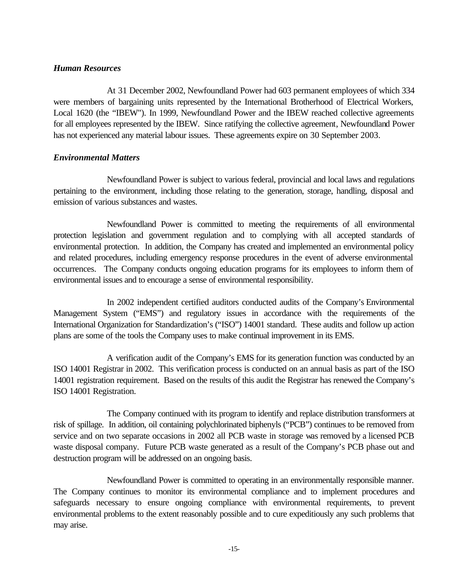## *Human Resources*

At 31 December 2002, Newfoundland Power had 603 permanent employees of which 334 were members of bargaining units represented by the International Brotherhood of Electrical Workers, Local 1620 (the "IBEW"). In 1999, Newfoundland Power and the IBEW reached collective agreements for all employees represented by the IBEW. Since ratifying the collective agreement, Newfoundland Power has not experienced any material labour issues. These agreements expire on 30 September 2003.

## *Environmental Matters*

Newfoundland Power is subject to various federal, provincial and local laws and regulations pertaining to the environment, including those relating to the generation, storage, handling, disposal and emission of various substances and wastes.

Newfoundland Power is committed to meeting the requirements of all environmental protection legislation and government regulation and to complying with all accepted standards of environmental protection. In addition, the Company has created and implemented an environmental policy and related procedures, including emergency response procedures in the event of adverse environmental occurrences. The Company conducts ongoing education programs for its employees to inform them of environmental issues and to encourage a sense of environmental responsibility.

In 2002 independent certified auditors conducted audits of the Company's Environmental Management System ("EMS") and regulatory issues in accordance with the requirements of the International Organization for Standardization's ("ISO") 14001 standard. These audits and follow up action plans are some of the tools the Company uses to make continual improvement in its EMS.

A verification audit of the Company's EMS for its generation function was conducted by an ISO 14001 Registrar in 2002. This verification process is conducted on an annual basis as part of the ISO 14001 registration requirement. Based on the results of this audit the Registrar has renewed the Company's ISO 14001 Registration.

The Company continued with its program to identify and replace distribution transformers at risk of spillage. In addition, oil containing polychlorinated biphenyls ("PCB") continues to be removed from service and on two separate occasions in 2002 all PCB waste in storage was removed by a licensed PCB waste disposal company. Future PCB waste generated as a result of the Company's PCB phase out and destruction program will be addressed on an ongoing basis.

Newfoundland Power is committed to operating in an environmentally responsible manner. The Company continues to monitor its environmental compliance and to implement procedures and safeguards necessary to ensure ongoing compliance with environmental requirements, to prevent environmental problems to the extent reasonably possible and to cure expeditiously any such problems that may arise.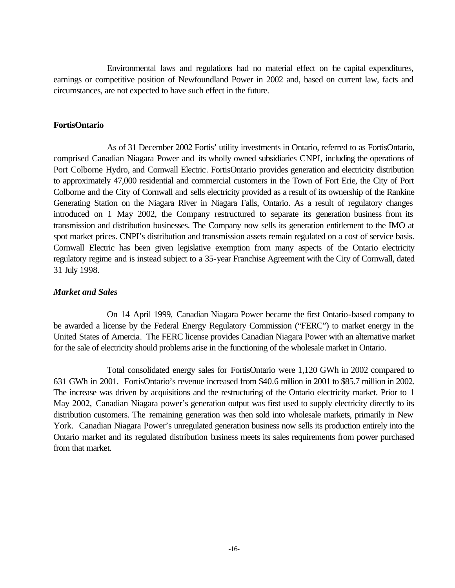Environmental laws and regulations had no material effect on the capital expenditures, earnings or competitive position of Newfoundland Power in 2002 and, based on current law, facts and circumstances, are not expected to have such effect in the future.

#### **FortisOntario**

As of 31 December 2002 Fortis' utility investments in Ontario, referred to as FortisOntario, comprised Canadian Niagara Power and its wholly owned subsidiaries CNPI, including the operations of Port Colborne Hydro, and Cornwall Electric. FortisOntario provides generation and electricity distribution to approximately 47,000 residential and commercial customers in the Town of Fort Erie, the City of Port Colborne and the City of Cornwall and sells electricity provided as a result of its ownership of the Rankine Generating Station on the Niagara River in Niagara Falls, Ontario. As a result of regulatory changes introduced on 1 May 2002, the Company restructured to separate its generation business from its transmission and distribution businesses. The Company now sells its generation entitlement to the IMO at spot market prices. CNPI's distribution and transmission assets remain regulated on a cost of service basis. Cornwall Electric has been given legislative exemption from many aspects of the Ontario electricity regulatory regime and is instead subject to a 35-year Franchise Agreement with the City of Cornwall, dated 31 July 1998.

## *Market and Sales*

On 14 April 1999, Canadian Niagara Power became the first Ontario-based company to be awarded a license by the Federal Energy Regulatory Commission ("FERC") to market energy in the United States of Amercia. The FERC license provides Canadian Niagara Power with an alternative market for the sale of electricity should problems arise in the functioning of the wholesale market in Ontario.

Total consolidated energy sales for FortisOntario were 1,120 GWh in 2002 compared to 631 GWh in 2001. FortisOntario's revenue increased from \$40.6 million in 2001 to \$85.7 million in 2002. The increase was driven by acquisitions and the restructuring of the Ontario electricity market. Prior to 1 May 2002, Canadian Niagara power's generation output was first used to supply electricity directly to its distribution customers. The remaining generation was then sold into wholesale markets, primarily in New York. Canadian Niagara Power's unregulated generation business now sells its production entirely into the Ontario market and its regulated distribution business meets its sales requirements from power purchased from that market.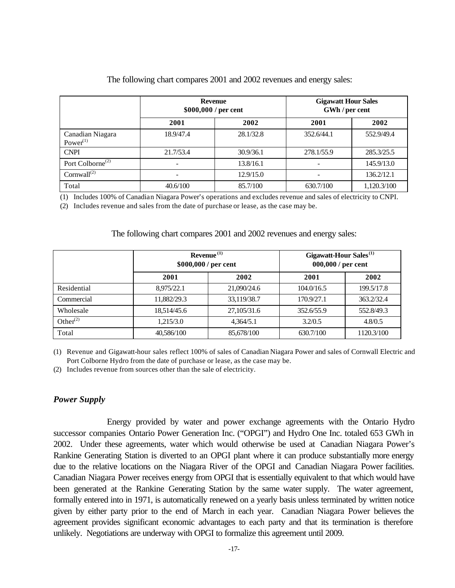|                                 | <b>Revenue</b><br>\$000,000 / per cent |           | <b>Gigawatt Hour Sales</b><br>GWh / per cent |             |
|---------------------------------|----------------------------------------|-----------|----------------------------------------------|-------------|
|                                 | 2002<br>2001                           |           | 2001                                         | 2002        |
| Canadian Niagara<br>Power $(1)$ | 18.9/47.4                              | 28.1/32.8 | 352.6/44.1                                   | 552.9/49.4  |
| <b>CNPI</b>                     | 21.7/53.4                              | 30.9/36.1 | 278.1/55.9                                   | 285.3/25.5  |
| Port Colborne <sup>(2)</sup>    | -                                      | 13.8/16.1 | -                                            | 145.9/13.0  |
| Cornwall $^{(2)}$               |                                        | 12.9/15.0 |                                              | 136.2/12.1  |
| Total                           | 40.6/100                               | 85.7/100  | 630.7/100                                    | 1,120.3/100 |

#### The following chart compares 2001 and 2002 revenues and energy sales:

(1) Includes 100% of Canadian Niagara Power's operations and excludes revenue and sales of electricity to CNPI.

(2) Includes revenue and sales from the date of purchase or lease, as the case may be.

# The following chart compares 2001 and 2002 revenues and energy sales:

|                | Revenue <sup>(1)</sup><br>\$000,000 / per cent |             | Gigawatt-Hour Sales <sup>(1)</sup><br>000,000 / per cent |            |
|----------------|------------------------------------------------|-------------|----------------------------------------------------------|------------|
|                | 2001                                           | 2002        | 2001                                                     | 2002       |
| Residential    | 8.975/22.1                                     | 21,090/24.6 | 104.0/16.5                                               | 199.5/17.8 |
| Commercial     | 11.882/29.3                                    | 33.119/38.7 | 170.9/27.1                                               | 363.2/32.4 |
| Wholesale      | 18.514/45.6                                    | 27,105/31.6 | 352.6/55.9                                               | 552.8/49.3 |
| Other $^{(2)}$ | 1.215/3.0                                      | 4.364/5.1   | 3.2/0.5                                                  | 4.8/0.5    |
| Total          | 40,586/100                                     | 85,678/100  | 630.7/100                                                | 1120.3/100 |

(1) Revenue and Gigawatt-hour sales reflect 100% of sales of Canadian Niagara Power and sales of Cornwall Electric and Port Colborne Hydro from the date of purchase or lease, as the case may be.

(2) Includes revenue from sources other than the sale of electricity.

## *Power Supply*

Energy provided by water and power exchange agreements with the Ontario Hydro successor companies Ontario Power Generation Inc. ("OPGI") and Hydro One Inc. totaled 653 GWh in 2002. Under these agreements, water which would otherwise be used at Canadian Niagara Power's Rankine Generating Station is diverted to an OPGI plant where it can produce substantially more energy due to the relative locations on the Niagara River of the OPGI and Canadian Niagara Power facilities. Canadian Niagara Power receives energy from OPGI that is essentially equivalent to that which would have been generated at the Rankine Generating Station by the same water supply. The water agreement, formally entered into in 1971, is automatically renewed on a yearly basis unless terminated by written notice given by either party prior to the end of March in each year. Canadian Niagara Power believes the agreement provides significant economic advantages to each party and that its termination is therefore unlikely. Negotiations are underway with OPGI to formalize this agreement until 2009.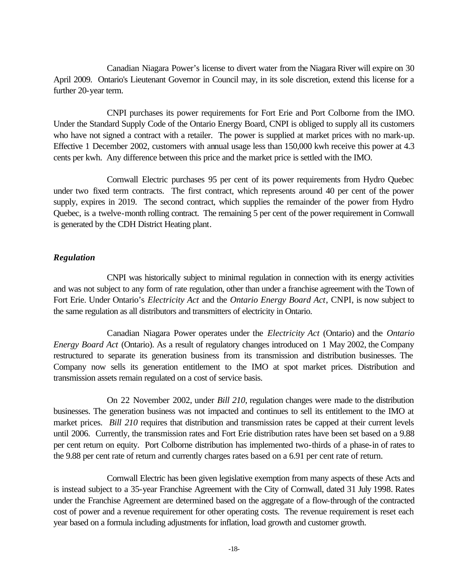Canadian Niagara Power's license to divert water from the Niagara River will expire on 30 April 2009. Ontario's Lieutenant Governor in Council may, in its sole discretion, extend this license for a further 20-year term.

CNPI purchases its power requirements for Fort Erie and Port Colborne from the IMO. Under the Standard Supply Code of the Ontario Energy Board, CNPI is obliged to supply all its customers who have not signed a contract with a retailer. The power is supplied at market prices with no mark-up. Effective 1 December 2002, customers with annual usage less than 150,000 kwh receive this power at 4.3 cents per kwh. Any difference between this price and the market price is settled with the IMO.

Cornwall Electric purchases 95 per cent of its power requirements from Hydro Quebec under two fixed term contracts. The first contract, which represents around 40 per cent of the power supply, expires in 2019. The second contract, which supplies the remainder of the power from Hydro Quebec, is a twelve-month rolling contract. The remaining 5 per cent of the power requirement in Cornwall is generated by the CDH District Heating plant.

## *Regulation*

CNPI was historically subject to minimal regulation in connection with its energy activities and was not subject to any form of rate regulation, other than under a franchise agreement with the Town of Fort Erie. Under Ontario's *Electricity Act* and the *Ontario Energy Board Act*, CNPI, is now subject to the same regulation as all distributors and transmitters of electricity in Ontario.

Canadian Niagara Power operates under the *Electricity Act* (Ontario) and the *Ontario Energy Board Act* (Ontario). As a result of regulatory changes introduced on 1 May 2002, the Company restructured to separate its generation business from its transmission and distribution businesses. The Company now sells its generation entitlement to the IMO at spot market prices. Distribution and transmission assets remain regulated on a cost of service basis.

On 22 November 2002, under *Bill 210*, regulation changes were made to the distribution businesses. The generation business was not impacted and continues to sell its entitlement to the IMO at market prices. *Bill 210* requires that distribution and transmission rates be capped at their current levels until 2006. Currently, the transmission rates and Fort Erie distribution rates have been set based on a 9.88 per cent return on equity. Port Colborne distribution has implemented two-thirds of a phase-in of rates to the 9.88 per cent rate of return and currently charges rates based on a 6.91 per cent rate of return.

Cornwall Electric has been given legislative exemption from many aspects of these Acts and is instead subject to a 35-year Franchise Agreement with the City of Cornwall, dated 31 July 1998. Rates under the Franchise Agreement are determined based on the aggregate of a flow-through of the contracted cost of power and a revenue requirement for other operating costs. The revenue requirement is reset each year based on a formula including adjustments for inflation, load growth and customer growth.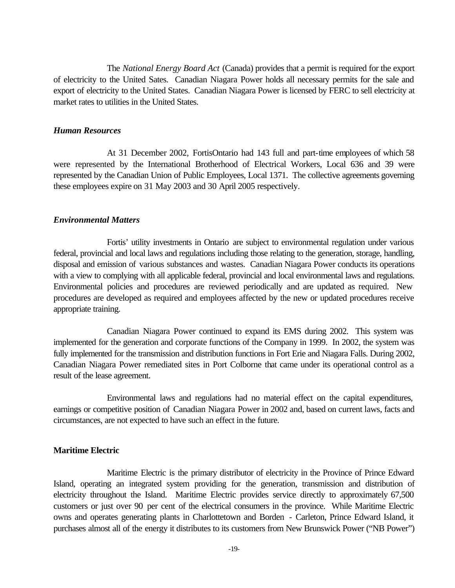The *National Energy Board Act* (Canada) provides that a permit is required for the export of electricity to the United Sates. Canadian Niagara Power holds all necessary permits for the sale and export of electricity to the United States. Canadian Niagara Power is licensed by FERC to sell electricity at market rates to utilities in the United States.

#### *Human Resources*

At 31 December 2002, FortisOntario had 143 full and part-time employees of which 58 were represented by the International Brotherhood of Electrical Workers, Local 636 and 39 were represented by the Canadian Union of Public Employees, Local 1371. The collective agreements governing these employees expire on 31 May 2003 and 30 April 2005 respectively.

#### *Environmental Matters*

Fortis' utility investments in Ontario are subject to environmental regulation under various federal, provincial and local laws and regulations including those relating to the generation, storage, handling, disposal and emission of various substances and wastes. Canadian Niagara Power conducts its operations with a view to complying with all applicable federal, provincial and local environmental laws and regulations. Environmental policies and procedures are reviewed periodically and are updated as required. New procedures are developed as required and employees affected by the new or updated procedures receive appropriate training.

Canadian Niagara Power continued to expand its EMS during 2002. This system was implemented for the generation and corporate functions of the Company in 1999. In 2002, the system was fully implemented for the transmission and distribution functions in Fort Erie and Niagara Falls. During 2002, Canadian Niagara Power remediated sites in Port Colborne that came under its operational control as a result of the lease agreement.

Environmental laws and regulations had no material effect on the capital expenditures, earnings or competitive position of Canadian Niagara Power in 2002 and, based on current laws, facts and circumstances, are not expected to have such an effect in the future.

#### **Maritime Electric**

Maritime Electric is the primary distributor of electricity in the Province of Prince Edward Island, operating an integrated system providing for the generation, transmission and distribution of electricity throughout the Island. Maritime Electric provides service directly to approximately 67,500 customers or just over 90 per cent of the electrical consumers in the province. While Maritime Electric owns and operates generating plants in Charlottetown and Borden - Carleton, Prince Edward Island, it purchases almost all of the energy it distributes to its customers from New Brunswick Power ("NB Power")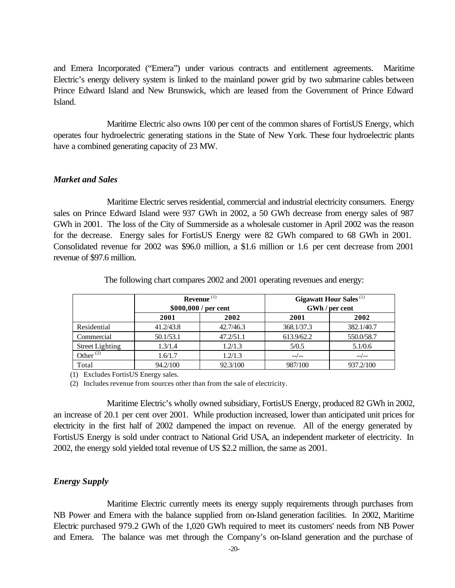and Emera Incorporated ("Emera") under various contracts and entitlement agreements. Maritime Electric's energy delivery system is linked to the mainland power grid by two submarine cables between Prince Edward Island and New Brunswick, which are leased from the Government of Prince Edward Island.

Maritime Electric also owns 100 per cent of the common shares of FortisUS Energy, which operates four hydroelectric generating stations in the State of New York. These four hydroelectric plants have a combined generating capacity of 23 MW.

#### *Market and Sales*

Maritime Electric serves residential, commercial and industrial electricity consumers. Energy sales on Prince Edward Island were 937 GWh in 2002, a 50 GWh decrease from energy sales of 987 GWh in 2001. The loss of the City of Summerside as a wholesale customer in April 2002 was the reason for the decrease. Energy sales for FortisUS Energy were 82 GWh compared to 68 GWh in 2001. Consolidated revenue for 2002 was \$96.0 million, a \$1.6 million or 1.6 per cent decrease from 2001 revenue of \$97.6 million.

|                        | Revenue $(1)$<br>\$000,000 / per cent |           | <b>Gigawatt Hour Sales</b> <sup>(1)</sup><br>GWh / per cent |            |
|------------------------|---------------------------------------|-----------|-------------------------------------------------------------|------------|
|                        | 2001                                  | 2002      | 2001                                                        | 2002       |
| Residential            | 41.2/43.8                             | 42.7/46.3 | 368.1/37.3                                                  | 382.1/40.7 |
| Commercial             | 50.1/53.1                             | 47.2/51.1 | 613.9/62.2                                                  | 550.0/58.7 |
| <b>Street Lighting</b> | 1.3/1.4                               | 1.2/1.3   | 5/0.5                                                       | 5.1/0.6    |
| Other $^{(2)}$         | 1.6/1.7                               | 1.2/1.3   | $-$ /--                                                     | $---/---$  |
| Total                  | 94.2/100                              | 92.3/100  | 987/100                                                     | 937.2/100  |

The following chart compares 2002 and 2001 operating revenues and energy:

(1) Excludes FortisUS Energy sales.

(2) Includes revenue from sources other than from the sale of electricity.

Maritime Electric's wholly owned subsidiary, FortisUS Energy, produced 82 GWh in 2002, an increase of 20.1 per cent over 2001. While production increased, lower than anticipated unit prices for electricity in the first half of 2002 dampened the impact on revenue. All of the energy generated by FortisUS Energy is sold under contract to National Grid USA, an independent marketer of electricity. In 2002, the energy sold yielded total revenue of US \$2.2 million, the same as 2001.

## *Energy Supply*

Maritime Electric currently meets its energy supply requirements through purchases from NB Power and Emera with the balance supplied from on-Island generation facilities. In 2002, Maritime Electric purchased 979.2 GWh of the 1,020 GWh required to meet its customers' needs from NB Power and Emera. The balance was met through the Company's on-Island generation and the purchase of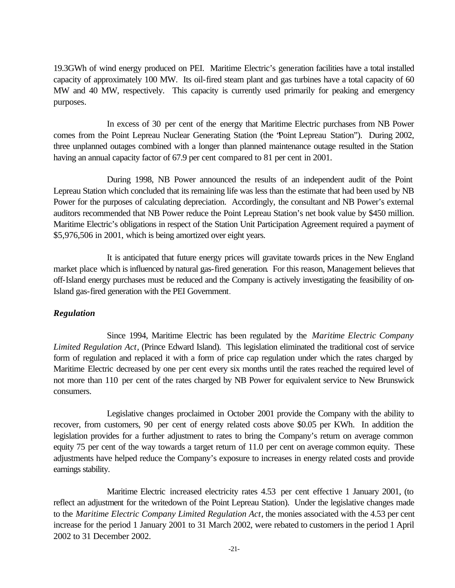19.3GWh of wind energy produced on PEI. Maritime Electric's generation facilities have a total installed capacity of approximately 100 MW. Its oil-fired steam plant and gas turbines have a total capacity of 60 MW and 40 MW, respectively. This capacity is currently used primarily for peaking and emergency purposes.

In excess of 30 per cent of the energy that Maritime Electric purchases from NB Power comes from the Point Lepreau Nuclear Generating Station (the "Point Lepreau Station"). During 2002, three unplanned outages combined with a longer than planned maintenance outage resulted in the Station having an annual capacity factor of 67.9 per cent compared to 81 per cent in 2001.

During 1998, NB Power announced the results of an independent audit of the Point Lepreau Station which concluded that its remaining life was less than the estimate that had been used by NB Power for the purposes of calculating depreciation. Accordingly, the consultant and NB Power's external auditors recommended that NB Power reduce the Point Lepreau Station's net book value by \$450 million. Maritime Electric's obligations in respect of the Station Unit Participation Agreement required a payment of \$5,976,506 in 2001, which is being amortized over eight years.

It is anticipated that future energy prices will gravitate towards prices in the New England market place which is influenced by natural gas-fired generation. For this reason, Management believes that off-Island energy purchases must be reduced and the Company is actively investigating the feasibility of on-Island gas-fired generation with the PEI Government.

## *Regulation*

Since 1994, Maritime Electric has been regulated by the *Maritime Electric Company Limited Regulation Act*, (Prince Edward Island). This legislation eliminated the traditional cost of service form of regulation and replaced it with a form of price cap regulation under which the rates charged by Maritime Electric decreased by one per cent every six months until the rates reached the required level of not more than 110 per cent of the rates charged by NB Power for equivalent service to New Brunswick consumers.

Legislative changes proclaimed in October 2001 provide the Company with the ability to recover, from customers, 90 per cent of energy related costs above \$0.05 per KWh. In addition the legislation provides for a further adjustment to rates to bring the Company's return on average common equity 75 per cent of the way towards a target return of 11.0 per cent on average common equity. These adjustments have helped reduce the Company's exposure to increases in energy related costs and provide earnings stability.

Maritime Electric increased electricity rates 4.53 per cent effective 1 January 2001, (to reflect an adjustment for the writedown of the Point Lepreau Station). Under the legislative changes made to the *Maritime Electric Company Limited Regulation Act*, the monies associated with the 4.53 per cent increase for the period 1 January 2001 to 31 March 2002, were rebated to customers in the period 1 April 2002 to 31 December 2002.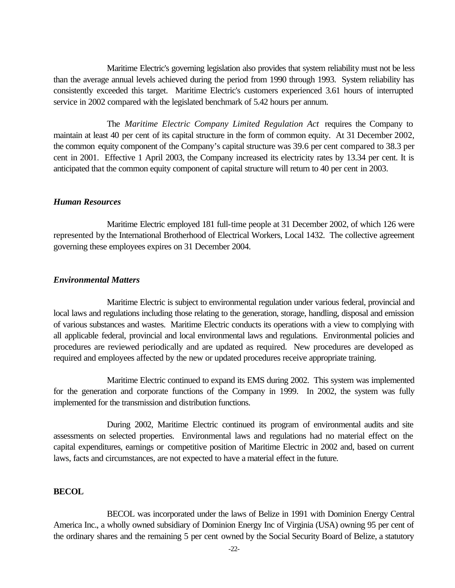Maritime Electric's governing legislation also provides that system reliability must not be less than the average annual levels achieved during the period from 1990 through 1993. System reliability has consistently exceeded this target. Maritime Electric's customers experienced 3.61 hours of interrupted service in 2002 compared with the legislated benchmark of 5.42 hours per annum.

The *Maritime Electric Company Limited Regulation Act* requires the Company to maintain at least 40 per cent of its capital structure in the form of common equity. At 31 December 2002, the common equity component of the Company's capital structure was 39.6 per cent compared to 38.3 per cent in 2001. Effective 1 April 2003, the Company increased its electricity rates by 13.34 per cent. It is anticipated that the common equity component of capital structure will return to 40 per cent in 2003.

#### *Human Resources*

Maritime Electric employed 181 full-time people at 31 December 2002, of which 126 were represented by the International Brotherhood of Electrical Workers, Local 1432. The collective agreement governing these employees expires on 31 December 2004.

#### *Environmental Matters*

Maritime Electric is subject to environmental regulation under various federal, provincial and local laws and regulations including those relating to the generation, storage, handling, disposal and emission of various substances and wastes. Maritime Electric conducts its operations with a view to complying with all applicable federal, provincial and local environmental laws and regulations. Environmental policies and procedures are reviewed periodically and are updated as required. New procedures are developed as required and employees affected by the new or updated procedures receive appropriate training.

Maritime Electric continued to expand its EMS during 2002. This system was implemented for the generation and corporate functions of the Company in 1999. In 2002, the system was fully implemented for the transmission and distribution functions.

During 2002, Maritime Electric continued its program of environmental audits and site assessments on selected properties. Environmental laws and regulations had no material effect on the capital expenditures, earnings or competitive position of Maritime Electric in 2002 and, based on current laws, facts and circumstances, are not expected to have a material effect in the future.

#### **BECOL**

BECOL was incorporated under the laws of Belize in 1991 with Dominion Energy Central America Inc., a wholly owned subsidiary of Dominion Energy Inc of Virginia (USA) owning 95 per cent of the ordinary shares and the remaining 5 per cent owned by the Social Security Board of Belize, a statutory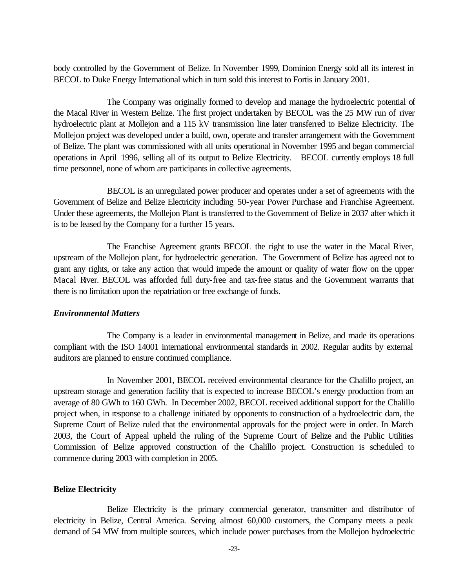body controlled by the Government of Belize. In November 1999, Dominion Energy sold all its interest in BECOL to Duke Energy International which in turn sold this interest to Fortis in January 2001.

The Company was originally formed to develop and manage the hydroelectric potential of the Macal River in Western Belize. The first project undertaken by BECOL was the 25 MW run of river hydroelectric plant at Mollejon and a 115 kV transmission line later transferred to Belize Electricity. The Mollejon project was developed under a build, own, operate and transfer arrangement with the Government of Belize. The plant was commissioned with all units operational in November 1995 and began commercial operations in April 1996, selling all of its output to Belize Electricity. BECOL currently employs 18 full time personnel, none of whom are participants in collective agreements.

BECOL is an unregulated power producer and operates under a set of agreements with the Government of Belize and Belize Electricity including 50-year Power Purchase and Franchise Agreement. Under these agreements, the Mollejon Plant is transferred to the Government of Belize in 2037 after which it is to be leased by the Company for a further 15 years.

The Franchise Agreement grants BECOL the right to use the water in the Macal River, upstream of the Mollejon plant, for hydroelectric generation. The Government of Belize has agreed not to grant any rights, or take any action that would impede the amount or quality of water flow on the upper Macal River. BECOL was afforded full duty-free and tax-free status and the Government warrants that there is no limitation upon the repatriation or free exchange of funds.

## *Environmental Matters*

The Company is a leader in environmental management in Belize, and made its operations compliant with the ISO 14001 international environmental standards in 2002. Regular audits by external auditors are planned to ensure continued compliance.

In November 2001, BECOL received environmental clearance for the Chalillo project, an upstream storage and generation facility that is expected to increase BECOL's energy production from an average of 80 GWh to 160 GWh. In December 2002, BECOL received additional support for the Chalillo project when, in response to a challenge initiated by opponents to construction of a hydroelectric dam, the Supreme Court of Belize ruled that the environmental approvals for the project were in order. In March 2003, the Court of Appeal upheld the ruling of the Supreme Court of Belize and the Public Utilities Commission of Belize approved construction of the Chalillo project. Construction is scheduled to commence during 2003 with completion in 2005.

#### **Belize Electricity**

Belize Electricity is the primary commercial generator, transmitter and distributor of electricity in Belize, Central America. Serving almost 60,000 customers, the Company meets a peak demand of 54 MW from multiple sources, which include power purchases from the Mollejon hydroelectric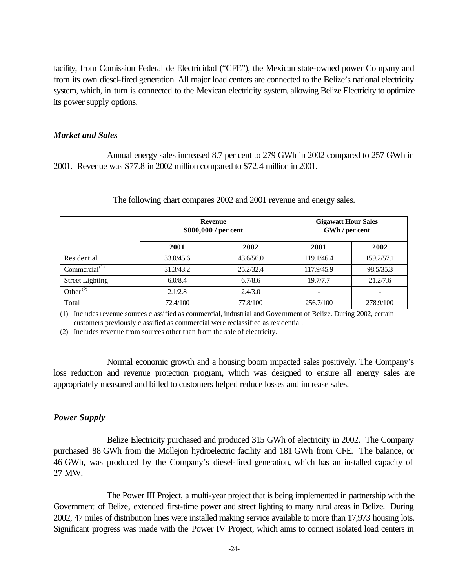facility, from Comission Federal de Electricidad ("CFE"), the Mexican state-owned power Company and from its own diesel-fired generation. All major load centers are connected to the Belize's national electricity system, which, in turn is connected to the Mexican electricity system, allowing Belize Electricity to optimize its power supply options.

#### *Market and Sales*

Annual energy sales increased 8.7 per cent to 279 GWh in 2002 compared to 257 GWh in 2001. Revenue was \$77.8 in 2002 million compared to \$72.4 million in 2001.

|                        | <b>Revenue</b><br>\$000,000 / per cent |           | <b>Gigawatt Hour Sales</b><br>GWh / per cent |            |
|------------------------|----------------------------------------|-----------|----------------------------------------------|------------|
|                        | 2001                                   | 2002      | 2001                                         | 2002       |
| Residential            | 33.0/45.6                              | 43.6/56.0 | 119.1/46.4                                   | 159.2/57.1 |
| Commercial $(1)$       | 31.3/43.2                              | 25.2/32.4 | 117.9/45.9                                   | 98.5/35.3  |
| <b>Street Lighting</b> | 6.0/8.4                                | 6.7/8.6   | 19.7/7.7                                     | 21.2/7.6   |
| Other $^{(2)}$         | 2.1/2.8                                | 2.4/3.0   | ۰                                            |            |
| Total                  | 72.4/100                               | 77.8/100  | 256.7/100                                    | 278.9/100  |

The following chart compares 2002 and 2001 revenue and energy sales.

(1) Includes revenue sources classified as commercial, industrial and Government of Belize. During 2002, certain customers previously classified as commercial were reclassified as residential.

(2) Includes revenue from sources other than from the sale of electricity.

Normal economic growth and a housing boom impacted sales positively. The Company's loss reduction and revenue protection program, which was designed to ensure all energy sales are appropriately measured and billed to customers helped reduce losses and increase sales.

#### *Power Supply*

Belize Electricity purchased and produced 315 GWh of electricity in 2002. The Company purchased 88 GWh from the Mollejon hydroelectric facility and 181 GWh from CFE. The balance, or 46 GWh, was produced by the Company's diesel-fired generation, which has an installed capacity of 27 MW.

The Power III Project, a multi-year project that is being implemented in partnership with the Government of Belize, extended first-time power and street lighting to many rural areas in Belize. During 2002, 47 miles of distribution lines were installed making service available to more than 17,973 housing lots. Significant progress was made with the Power IV Project, which aims to connect isolated load centers in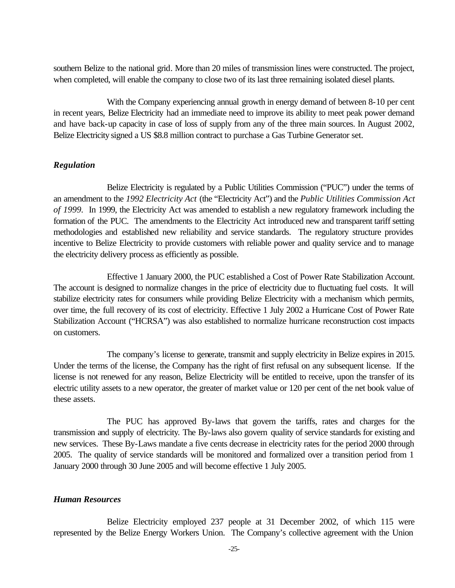southern Belize to the national grid. More than 20 miles of transmission lines were constructed. The project, when completed, will enable the company to close two of its last three remaining isolated diesel plants.

With the Company experiencing annual growth in energy demand of between 8-10 per cent in recent years, Belize Electricity had an immediate need to improve its ability to meet peak power demand and have back-up capacity in case of loss of supply from any of the three main sources. In August 2002, Belize Electricity signed a US \$8.8 million contract to purchase a Gas Turbine Generator set.

#### *Regulation*

Belize Electricity is regulated by a Public Utilities Commission ("PUC") under the terms of an amendment to the *1992 Electricity Act* (the "Electricity Act") and the *Public Utilities Commission Act of 1999.* In 1999, the Electricity Act was amended to establish a new regulatory framework including the formation of the PUC. The amendments to the Electricity Act introduced new and transparent tariff setting methodologies and established new reliability and service standards. The regulatory structure provides incentive to Belize Electricity to provide customers with reliable power and quality service and to manage the electricity delivery process as efficiently as possible.

Effective 1 January 2000, the PUC established a Cost of Power Rate Stabilization Account. The account is designed to normalize changes in the price of electricity due to fluctuating fuel costs. It will stabilize electricity rates for consumers while providing Belize Electricity with a mechanism which permits, over time, the full recovery of its cost of electricity. Effective 1 July 2002 a Hurricane Cost of Power Rate Stabilization Account ("HCRSA") was also established to normalize hurricane reconstruction cost impacts on customers.

The company's license to generate, transmit and supply electricity in Belize expires in 2015. Under the terms of the license, the Company has the right of first refusal on any subsequent license. If the license is not renewed for any reason, Belize Electricity will be entitled to receive, upon the transfer of its electric utility assets to a new operator, the greater of market value or 120 per cent of the net book value of these assets.

The PUC has approved By-laws that govern the tariffs, rates and charges for the transmission and supply of electricity. The By-laws also govern quality of service standards for existing and new services. These By-Laws mandate a five cents decrease in electricity rates for the period 2000 through 2005. The quality of service standards will be monitored and formalized over a transition period from 1 January 2000 through 30 June 2005 and will become effective 1 July 2005.

## *Human Resources*

Belize Electricity employed 237 people at 31 December 2002, of which 115 were represented by the Belize Energy Workers Union. The Company's collective agreement with the Union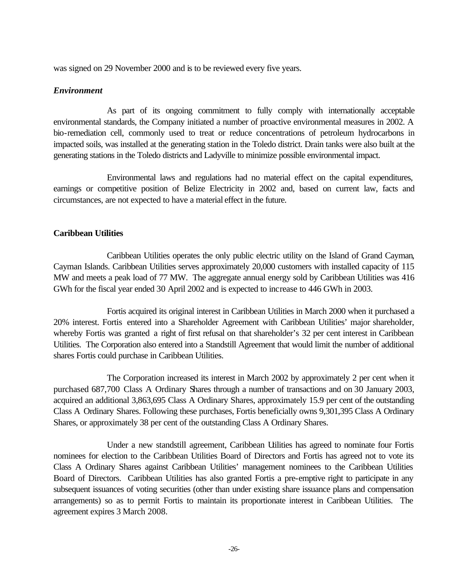was signed on 29 November 2000 and is to be reviewed every five years.

## *Environment*

As part of its ongoing commitment to fully comply with internationally acceptable environmental standards, the Company initiated a number of proactive environmental measures in 2002. A bio-remediation cell, commonly used to treat or reduce concentrations of petroleum hydrocarbons in impacted soils, was installed at the generating station in the Toledo district. Drain tanks were also built at the generating stations in the Toledo districts and Ladyville to minimize possible environmental impact.

Environmental laws and regulations had no material effect on the capital expenditures, earnings or competitive position of Belize Electricity in 2002 and, based on current law, facts and circumstances, are not expected to have a material effect in the future.

## **Caribbean Utilities**

Caribbean Utilities operates the only public electric utility on the Island of Grand Cayman, Cayman Islands. Caribbean Utilities serves approximately 20,000 customers with installed capacity of 115 MW and meets a peak load of 77 MW. The aggregate annual energy sold by Caribbean Utilities was 416 GWh for the fiscal year ended 30 April 2002 and is expected to increase to 446 GWh in 2003.

Fortis acquired its original interest in Caribbean Utilities in March 2000 when it purchased a 20% interest. Fortis entered into a Shareholder Agreement with Caribbean Utilities' major shareholder, whereby Fortis was granted a right of first refusal on that shareholder's 32 per cent interest in Caribbean Utilities. The Corporation also entered into a Standstill Agreement that would limit the number of additional shares Fortis could purchase in Caribbean Utilities.

The Corporation increased its interest in March 2002 by approximately 2 per cent when it purchased 687,700 Class A Ordinary Shares through a number of transactions and on 30 January 2003, acquired an additional 3,863,695 Class A Ordinary Shares, approximately 15.9 per cent of the outstanding Class A Ordinary Shares. Following these purchases, Fortis beneficially owns 9,301,395 Class A Ordinary Shares, or approximately 38 per cent of the outstanding Class A Ordinary Shares.

Under a new standstill agreement, Caribbean Utilities has agreed to nominate four Fortis nominees for election to the Caribbean Utilities Board of Directors and Fortis has agreed not to vote its Class A Ordinary Shares against Caribbean Utilities' management nominees to the Caribbean Utilities Board of Directors. Caribbean Utilities has also granted Fortis a pre-emptive right to participate in any subsequent issuances of voting securities (other than under existing share issuance plans and compensation arrangements) so as to permit Fortis to maintain its proportionate interest in Caribbean Utilities. The agreement expires 3 March 2008.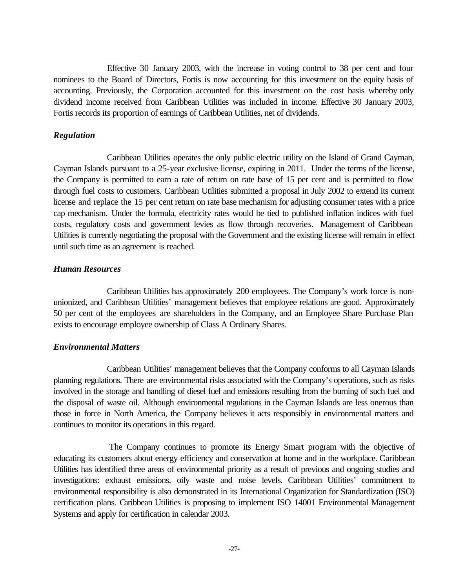Effective 30 January 2003, with the increase in voting control to 38 per cent and four nominees to the Board of Directors, Fortis is now accounting for this investment on the equity basis of accounting. Previously, the Corporation accounted for this investment on the cost basis whereby only dividend income received from Caribbean Utilities was included in income. Effective 30 January 2003, Fortis records its proportion of earnings of Caribbean Utilities, net of dividends.

## *Regulation*

Caribbean Utilities operates the only public electric utility on the Island of Grand Cayman, Cayman Islands pursuant to a 25-year exclusive license, expiring in 2011. Under the terms of the license, the Company is permitted to earn a rate of return on rate base of 15 per cent and is permitted to flow through fuel costs to customers. Caribbean Utilities submitted a proposal in July 2002 to extend its current license and replace the 15 per cent return on rate base mechanism for adjusting consumer rates with a price cap mechanism. Under the formula, electricity rates would be tied to published inflation indices with fuel costs, regulatory costs and government levies as flow through recoveries. Management of Caribbean Utilities is currently negotiating the proposal with the Government and the existing license will remain in effect until such time as an agreement is reached.

#### *Human Resources*

Caribbean Utilities has approximately 200 employees. The Company's work force is nonunionized, and Caribbean Utilities' management believes that employee relations are good. Approximately 50 per cent of the employees are shareholders in the Company, and an Employee Share Purchase Plan exists to encourage employee ownership of Class A Ordinary Shares.

## *Environmental Matters*

Caribbean Utilities' management believes that the Company conforms to all Cayman Islands planning regulations. There are environmental risks associated with the Company's operations, such as risks involved in the storage and handling of diesel fuel and emissions resulting from the burning of such fuel and the disposal of waste oil. Although environmental regulations in the Cayman Islands are less onerous than those in force in North America, the Company believes it acts responsibly in environmental matters and continues to monitor its operations in this regard.

The Company continues to promote its Energy Smart program with the objective of educating its customers about energy efficiency and conservation at home and in the workplace. Caribbean Utilities has identified three areas of environmental priority as a result of previous and ongoing studies and investigations: exhaust emissions, oily waste and noise levels. Caribbean Utilities' commitment to environmental responsibility is also demonstrated in its International Organization for Standardization (ISO) certification plans. Caribbean Utilities is proposing to implement ISO 14001 Environmental Management Systems and apply for certification in calendar 2003.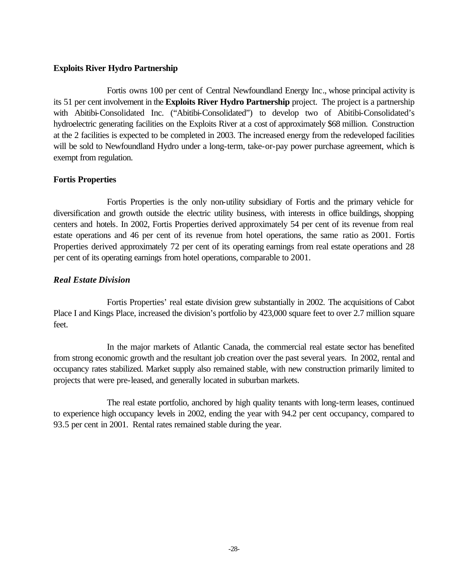## **Exploits River Hydro Partnership**

Fortis owns 100 per cent of Central Newfoundland Energy Inc., whose principal activity is its 51 per cent involvement in the **Exploits River Hydro Partnership** project. The project is a partnership with Abitibi-Consolidated Inc. ("Abitibi-Consolidated") to develop two of Abitibi-Consolidated's hydroelectric generating facilities on the Exploits River at a cost of approximately \$68 million. Construction at the 2 facilities is expected to be completed in 2003. The increased energy from the redeveloped facilities will be sold to Newfoundland Hydro under a long-term, take-or-pay power purchase agreement, which is exempt from regulation.

## **Fortis Properties**

Fortis Properties is the only non-utility subsidiary of Fortis and the primary vehicle for diversification and growth outside the electric utility business, with interests in office buildings, shopping centers and hotels. In 2002, Fortis Properties derived approximately 54 per cent of its revenue from real estate operations and 46 per cent of its revenue from hotel operations, the same ratio as 2001. Fortis Properties derived approximately 72 per cent of its operating earnings from real estate operations and 28 per cent of its operating earnings from hotel operations, comparable to 2001.

## *Real Estate Division*

Fortis Properties' real estate division grew substantially in 2002. The acquisitions of Cabot Place I and Kings Place, increased the division's portfolio by 423,000 square feet to over 2.7 million square feet.

In the major markets of Atlantic Canada, the commercial real estate sector has benefited from strong economic growth and the resultant job creation over the past several years. In 2002, rental and occupancy rates stabilized. Market supply also remained stable, with new construction primarily limited to projects that were pre-leased, and generally located in suburban markets.

The real estate portfolio, anchored by high quality tenants with long-term leases, continued to experience high occupancy levels in 2002, ending the year with 94.2 per cent occupancy, compared to 93.5 per cent in 2001. Rental rates remained stable during the year.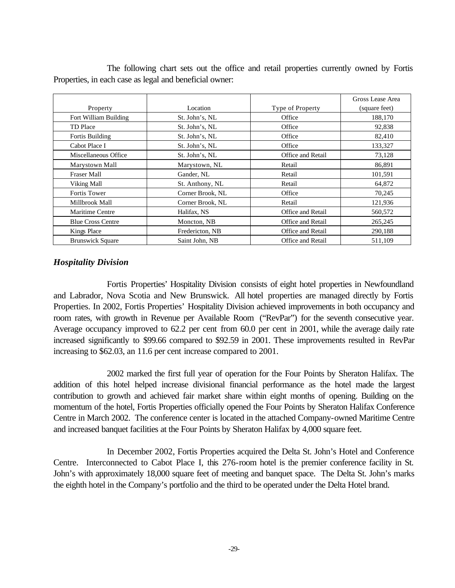|                          |                  |                          | Gross Lease Area |
|--------------------------|------------------|--------------------------|------------------|
| Property                 | Location         | Type of Property         | (square feet)    |
| Fort William Building    | St. John's, NL   | Office                   | 188,170          |
| TD Place                 | St. John's, NL   | Office                   | 92,838           |
| Fortis Building          | St. John's, NL   | Office                   | 82,410           |
| Cabot Place I            | St. John's, NL   | Office                   | 133,327          |
| Miscellaneous Office     | St. John's, NL   | Office and Retail        | 73,128           |
| Marystown Mall           | Marystown, NL    | Retail                   | 86,891           |
| Fraser Mall              | Gander, NL       | Retail                   | 101,591          |
| Viking Mall              | St. Anthony, NL  | Retail                   | 64,872           |
| <b>Fortis Tower</b>      | Corner Brook, NL | Office                   | 70,245           |
| Millbrook Mall           | Corner Brook, NL | Retail                   | 121,936          |
| <b>Maritime Centre</b>   | Halifax, NS      | <b>Office and Retail</b> | 560,572          |
| <b>Blue Cross Centre</b> | Moncton, NB      | Office and Retail        | 265,245          |
| Kings Place              | Fredericton, NB  | Office and Retail        | 290,188          |
| <b>Brunswick Square</b>  | Saint John, NB   | <b>Office and Retail</b> | 511,109          |

The following chart sets out the office and retail properties currently owned by Fortis Properties, in each case as legal and beneficial owner:

## *Hospitality Division*

Fortis Properties' Hospitality Division consists of eight hotel properties in Newfoundland and Labrador, Nova Scotia and New Brunswick. All hotel properties are managed directly by Fortis Properties. In 2002, Fortis Properties' Hospitality Division achieved improvements in both occupancy and room rates, with growth in Revenue per Available Room ("RevPar") for the seventh consecutive year. Average occupancy improved to 62.2 per cent from 60.0 per cent in 2001, while the average daily rate increased significantly to \$99.66 compared to \$92.59 in 2001. These improvements resulted in RevPar increasing to \$62.03, an 11.6 per cent increase compared to 2001.

2002 marked the first full year of operation for the Four Points by Sheraton Halifax. The addition of this hotel helped increase divisional financial performance as the hotel made the largest contribution to growth and achieved fair market share within eight months of opening. Building on the momentum of the hotel, Fortis Properties officially opened the Four Points by Sheraton Halifax Conference Centre in March 2002. The conference center is located in the attached Company-owned Maritime Centre and increased banquet facilities at the Four Points by Sheraton Halifax by 4,000 square feet.

In December 2002, Fortis Properties acquired the Delta St. John's Hotel and Conference Centre. Interconnected to Cabot Place I, this 276-room hotel is the premier conference facility in St. John's with approximately 18,000 square feet of meeting and banquet space. The Delta St. John's marks the eighth hotel in the Company's portfolio and the third to be operated under the Delta Hotel brand.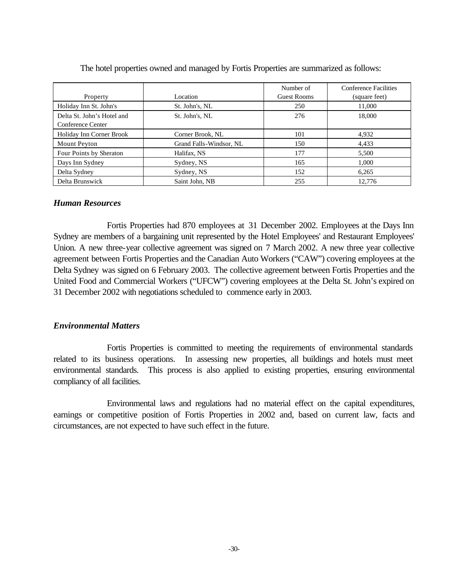|                            |                         | Number of          | Conference Facilities |
|----------------------------|-------------------------|--------------------|-----------------------|
| Property                   | Location                | <b>Guest Rooms</b> | (square feet)         |
| Holiday Inn St. John's     | St. John's, NL          | 250                | 11,000                |
| Delta St. John's Hotel and | St. John's, NL          | 276                | 18,000                |
| Conference Center          |                         |                    |                       |
| Holiday Inn Corner Brook   | Corner Brook, NL        | 101                | 4,932                 |
| Mount Peyton               | Grand Falls-Windsor, NL | 150                | 4,433                 |
| Four Points by Sheraton    | Halifax, NS             | 177                | 5,500                 |
| Days Inn Sydney            | Sydney, NS              | 165                | 1,000                 |
| Delta Sydney               | Sydney, NS              | 152                | 6,265                 |
| Delta Brunswick            | Saint John, NB          | 255                | 12.776                |

The hotel properties owned and managed by Fortis Properties are summarized as follows:

#### *Human Resources*

Fortis Properties had 870 employees at 31 December 2002. Employees at the Days Inn Sydney are members of a bargaining unit represented by the Hotel Employees' and Restaurant Employees' Union. A new three-year collective agreement was signed on 7 March 2002. A new three year collective agreement between Fortis Properties and the Canadian Auto Workers ("CAW") covering employees at the Delta Sydney was signed on 6 February 2003. The collective agreement between Fortis Properties and the United Food and Commercial Workers ("UFCW") covering employees at the Delta St. John's expired on 31 December 2002 with negotiations scheduled to commence early in 2003.

## *Environmental Matters*

Fortis Properties is committed to meeting the requirements of environmental standards related to its business operations. In assessing new properties, all buildings and hotels must meet environmental standards. This process is also applied to existing properties, ensuring environmental compliancy of all facilities.

Environmental laws and regulations had no material effect on the capital expenditures, earnings or competitive position of Fortis Properties in 2002 and, based on current law, facts and circumstances, are not expected to have such effect in the future.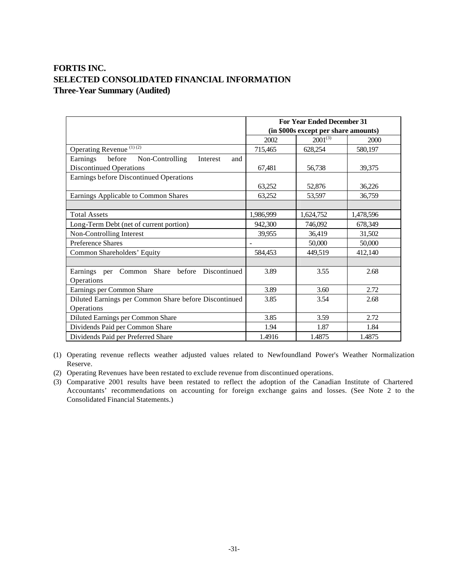## **FORTIS INC. SELECTED CONSOLIDATED FINANCIAL INFORMATION Three-Year Summary (Audited)**

|                                                       | <b>For Year Ended December 31</b> |                                      |           |
|-------------------------------------------------------|-----------------------------------|--------------------------------------|-----------|
|                                                       |                                   | (in \$000s except per share amounts) |           |
|                                                       | 2002                              | $2001^{(3)}$                         | 2000      |
| Operating Revenue <sup>(1)(2)</sup>                   | 715,465                           | 628,254                              | 580,197   |
| Earnings before<br>Non-Controlling<br>Interest<br>and |                                   |                                      |           |
| <b>Discontinued Operations</b>                        | 67,481                            | 56,738                               | 39,375    |
| Earnings before Discontinued Operations               |                                   |                                      |           |
|                                                       | 63,252                            | 52,876                               | 36,226    |
| Earnings Applicable to Common Shares                  | 63,252                            | 53,597                               | 36,759    |
|                                                       |                                   |                                      |           |
| <b>Total Assets</b>                                   | 1,986,999                         | 1,624,752                            | 1,478,596 |
| Long-Term Debt (net of current portion)               | 942,300                           | 746,092                              | 678,349   |
| Non-Controlling Interest                              | 39,955                            | 36,419                               | 31,502    |
| <b>Preference Shares</b>                              |                                   | 50,000                               | 50,000    |
| Common Shareholders' Equity                           | 584,453                           | 449,519                              | 412,140   |
|                                                       |                                   |                                      |           |
| Earnings per Common Share before Discontinued         | 3.89                              | 3.55                                 | 2.68      |
| Operations                                            |                                   |                                      |           |
| Earnings per Common Share                             | 3.89                              | 3.60                                 | 2.72      |
| Diluted Earnings per Common Share before Discontinued | 3.85                              | 3.54                                 | 2.68      |
| Operations                                            |                                   |                                      |           |
| Diluted Earnings per Common Share                     | 3.85                              | 3.59                                 | 2.72      |
| Dividends Paid per Common Share                       | 1.94                              | 1.87                                 | 1.84      |
| Dividends Paid per Preferred Share                    | 1.4916                            | 1.4875                               | 1.4875    |

(1) Operating revenue reflects weather adjusted values related to Newfoundland Power's Weather Normalization Reserve.

(2) Operating Revenues have been restated to exclude revenue from discontinued operations.

(3) Comparative 2001 results have been restated to reflect the adoption of the Canadian Institute of Chartered Accountants' recommendations on accounting for foreign exchange gains and losses. (See Note 2 to the Consolidated Financial Statements.)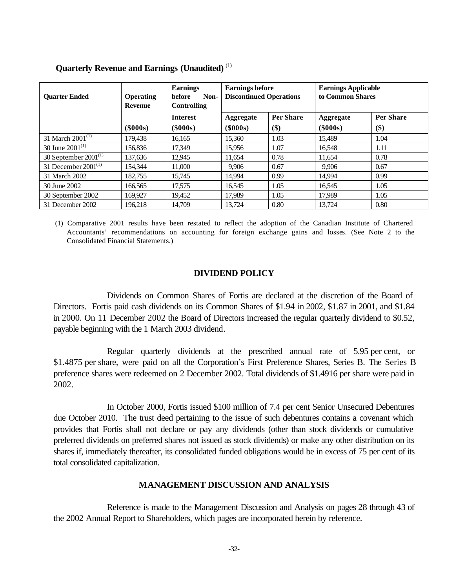| <b>Ouarter Ended</b>         | <b>Operating</b><br><b>Revenue</b> | <b>Earnings</b><br>before<br>Non-<br><b>Controlling</b> | <b>Earnings before</b><br><b>Discontinued Operations</b> |                  | <b>Earnings Applicable</b><br>to Common Shares |                  |
|------------------------------|------------------------------------|---------------------------------------------------------|----------------------------------------------------------|------------------|------------------------------------------------|------------------|
|                              |                                    | <b>Interest</b>                                         | Aggregate                                                | <b>Per Share</b> | Aggregate                                      | <b>Per Share</b> |
|                              | $(\$000s)$                         | $(\$000s)$                                              | (\$000s)                                                 | \$)              | $(\$000s)$                                     | \$)              |
| 31 March 2001 <sup>(1)</sup> | 179.438                            | 16.165                                                  | 15.360                                                   | 1.03             | 15.489                                         | 1.04             |
| 30 June $2001^{(1)}$         | 156,836                            | 17.349                                                  | 15.956                                                   | 1.07             | 16,548                                         | 1.11             |
| 30 September $2001^{(1)}$    | 137,636                            | 12,945                                                  | 11,654                                                   | 0.78             | 11,654                                         | 0.78             |
| 31 December $2001^{(1)}$     | 154.344                            | 11,000                                                  | 9.906                                                    | 0.67             | 9,906                                          | 0.67             |
| 31 March 2002                | 182,755                            | 15,745                                                  | 14.994                                                   | 0.99             | 14.994                                         | 0.99             |
| 30 June 2002                 | 166,565                            | 17,575                                                  | 16,545                                                   | 1.05             | 16,545                                         | 1.05             |
| 30 September 2002            | 169,927                            | 19,452                                                  | 17,989                                                   | 1.05             | 17,989                                         | 1.05             |
| 31 December 2002             | 196.218                            | 14,709                                                  | 13,724                                                   | 0.80             | 13,724                                         | 0.80             |

#### **Quarterly Revenue and Earnings (Unaudited)** (1)

(1) Comparative 2001 results have been restated to reflect the adoption of the Canadian Institute of Chartered Accountants' recommendations on accounting for foreign exchange gains and losses. (See Note 2 to the Consolidated Financial Statements.)

#### **DIVIDEND POLICY**

Dividends on Common Shares of Fortis are declared at the discretion of the Board of Directors. Fortis paid cash dividends on its Common Shares of \$1.94 in 2002, \$1.87 in 2001, and \$1.84 in 2000. On 11 December 2002 the Board of Directors increased the regular quarterly dividend to \$0.52, payable beginning with the 1 March 2003 dividend.

Regular quarterly dividends at the prescribed annual rate of 5.95 per cent, or \$1.4875 per share, were paid on all the Corporation's First Preference Shares, Series B. The Series B preference shares were redeemed on 2 December 2002. Total dividends of \$1.4916 per share were paid in 2002.

In October 2000, Fortis issued \$100 million of 7.4 per cent Senior Unsecured Debentures due October 2010. The trust deed pertaining to the issue of such debentures contains a covenant which provides that Fortis shall not declare or pay any dividends (other than stock dividends or cumulative preferred dividends on preferred shares not issued as stock dividends) or make any other distribution on its shares if, immediately thereafter, its consolidated funded obligations would be in excess of 75 per cent of its total consolidated capitalization.

#### **MANAGEMENT DISCUSSION AND ANALYSIS**

Reference is made to the Management Discussion and Analysis on pages 28 through 43 of the 2002 Annual Report to Shareholders, which pages are incorporated herein by reference.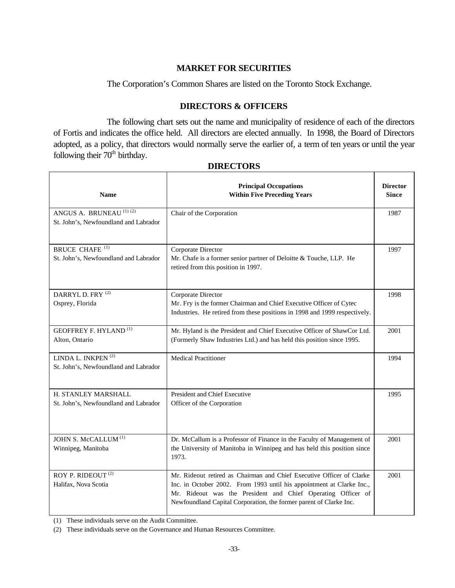## **MARKET FOR SECURITIES**

The Corporation's Common Shares are listed on the Toronto Stock Exchange.

## **DIRECTORS & OFFICERS**

The following chart sets out the name and municipality of residence of each of the directors of Fortis and indicates the office held. All directors are elected annually. In 1998, the Board of Directors adopted, as a policy, that directors would normally serve the earlier of, a term of ten years or until the year following their  $70<sup>th</sup>$  birthday.

| <b>Name</b>                                                                 | <b>Principal Occupations</b><br><b>Within Five Preceding Years</b>                                                                                                                                                                                                                   | <b>Director</b><br><b>Since</b> |
|-----------------------------------------------------------------------------|--------------------------------------------------------------------------------------------------------------------------------------------------------------------------------------------------------------------------------------------------------------------------------------|---------------------------------|
| ANGUS A. BRUNEAU <sup>(1)(2)</sup><br>St. John's, Newfoundland and Labrador | Chair of the Corporation                                                                                                                                                                                                                                                             | 1987                            |
| <b>BRUCE CHAFE (1)</b><br>St. John's, Newfoundland and Labrador             | Corporate Director<br>Mr. Chafe is a former senior partner of Deloitte & Touche, LLP. He<br>retired from this position in 1997.                                                                                                                                                      | 1997                            |
| DARRYL D. FRY <sup>(2)</sup><br>Osprey, Florida                             | Corporate Director<br>Mr. Fry is the former Chairman and Chief Executive Officer of Cytec<br>Industries. He retired from these positions in 1998 and 1999 respectively.                                                                                                              | 1998                            |
| <b>GEOFFREY F. HYLAND</b> <sup>(1)</sup><br>Alton, Ontario                  | Mr. Hyland is the President and Chief Executive Officer of ShawCor Ltd.<br>(Formerly Shaw Industries Ltd.) and has held this position since 1995.                                                                                                                                    | 2001                            |
| LINDA L. INKPEN <sup>(2)</sup><br>St. John's, Newfoundland and Labrador     | <b>Medical Practitioner</b>                                                                                                                                                                                                                                                          | 1994                            |
| H. STANLEY MARSHALL<br>St. John's, Newfoundland and Labrador                | President and Chief Executive<br>Officer of the Corporation                                                                                                                                                                                                                          | 1995                            |
| JOHN S. McCALLUM <sup>(1)</sup><br>Winnipeg, Manitoba                       | Dr. McCallum is a Professor of Finance in the Faculty of Management of<br>the University of Manitoba in Winnipeg and has held this position since<br>1973.                                                                                                                           | 2001                            |
| ROY P. RIDEOUT <sup>(2)</sup><br>Halifax, Nova Scotia                       | Mr. Rideout retired as Chairman and Chief Executive Officer of Clarke<br>Inc. in October 2002. From 1993 until his appointment at Clarke Inc.,<br>Mr. Rideout was the President and Chief Operating Officer of<br>Newfoundland Capital Corporation, the former parent of Clarke Inc. | 2001                            |

## **DIRECTORS**

Τ

٦

(1) These individuals serve on the Audit Committee.

(2) These individuals serve on the Governance and Human Resources Committee.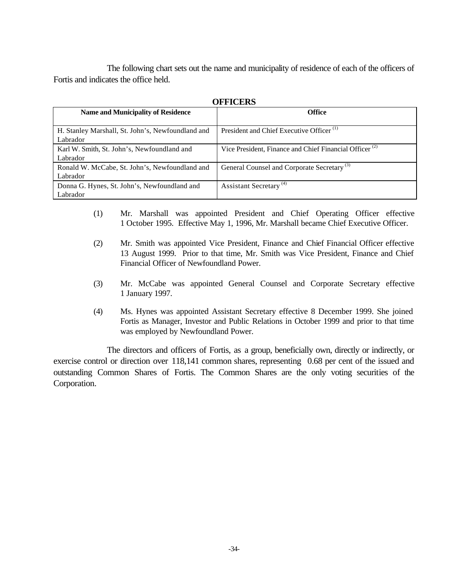The following chart sets out the name and municipality of residence of each of the officers of Fortis and indicates the office held.

| UFFICERS                                                      |                                                                    |
|---------------------------------------------------------------|--------------------------------------------------------------------|
| <b>Name and Municipality of Residence</b>                     | <b>Office</b>                                                      |
| H. Stanley Marshall, St. John's, Newfoundland and<br>Labrador | President and Chief Executive Officer <sup>(1)</sup>               |
| Karl W. Smith, St. John's, Newfoundland and<br>Labrador       | Vice President, Finance and Chief Financial Officer <sup>(2)</sup> |
| Ronald W. McCabe, St. John's, Newfoundland and<br>Labrador    | General Counsel and Corporate Secretary <sup>(3)</sup>             |
| Donna G. Hynes, St. John's, Newfoundland and<br>Labrador      | Assistant Secretary <sup>(4)</sup>                                 |

**OFFICERS**

- (1) Mr. Marshall was appointed President and Chief Operating Officer effective 1 October 1995. Effective May 1, 1996, Mr. Marshall became Chief Executive Officer.
- (2) Mr. Smith was appointed Vice President, Finance and Chief Financial Officer effective 13 August 1999. Prior to that time, Mr. Smith was Vice President, Finance and Chief Financial Officer of Newfoundland Power.
- (3) Mr. McCabe was appointed General Counsel and Corporate Secretary effective 1 January 1997.
- (4) Ms. Hynes was appointed Assistant Secretary effective 8 December 1999. She joined Fortis as Manager, Investor and Public Relations in October 1999 and prior to that time was employed by Newfoundland Power.

The directors and officers of Fortis, as a group, beneficially own, directly or indirectly, or exercise control or direction over 118,141 common shares, representing 0.68 per cent of the issued and outstanding Common Shares of Fortis. The Common Shares are the only voting securities of the Corporation.